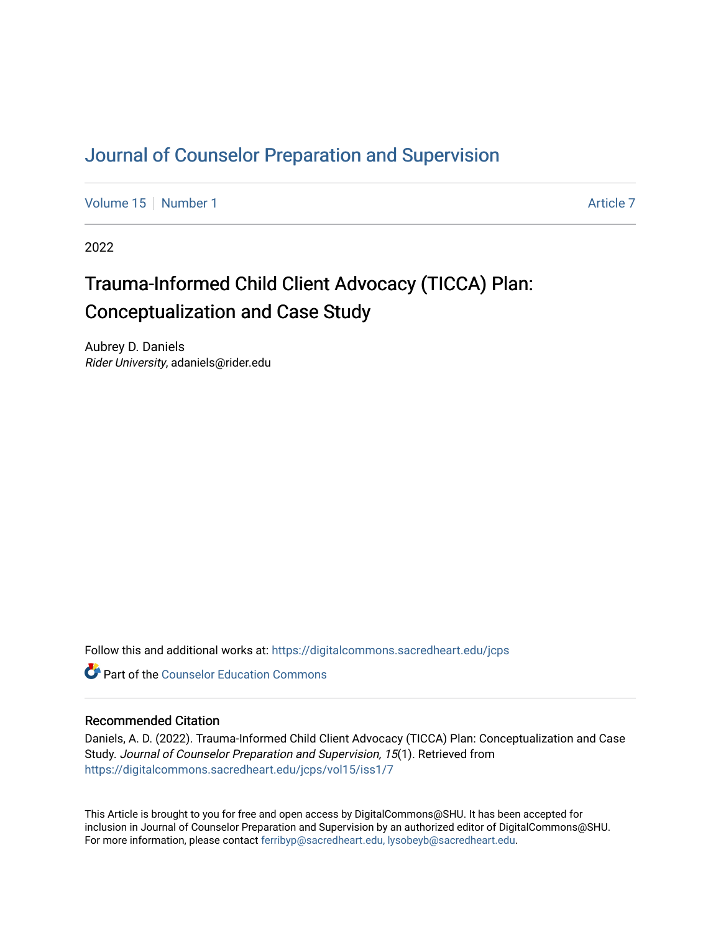# [Journal of Counselor Preparation and Supervision](https://digitalcommons.sacredheart.edu/jcps)

[Volume 15](https://digitalcommons.sacredheart.edu/jcps/vol15) [Number 1](https://digitalcommons.sacredheart.edu/jcps/vol15/iss1) [Article 7](https://digitalcommons.sacredheart.edu/jcps/vol15/iss1/7) Article 7 Article 7 Article 7 Article 7 Article 7 Article 7

2022

# Trauma-Informed Child Client Advocacy (TICCA) Plan: Conceptualization and Case Study

Aubrey D. Daniels Rider University, adaniels@rider.edu

Follow this and additional works at: [https://digitalcommons.sacredheart.edu/jcps](https://digitalcommons.sacredheart.edu/jcps?utm_source=digitalcommons.sacredheart.edu%2Fjcps%2Fvol15%2Fiss1%2F7&utm_medium=PDF&utm_campaign=PDFCoverPages) 

**C** Part of the Counselor Education Commons

### Recommended Citation

Daniels, A. D. (2022). Trauma-Informed Child Client Advocacy (TICCA) Plan: Conceptualization and Case Study. Journal of Counselor Preparation and Supervision, 15(1). Retrieved from [https://digitalcommons.sacredheart.edu/jcps/vol15/iss1/7](https://digitalcommons.sacredheart.edu/jcps/vol15/iss1/7?utm_source=digitalcommons.sacredheart.edu%2Fjcps%2Fvol15%2Fiss1%2F7&utm_medium=PDF&utm_campaign=PDFCoverPages)

This Article is brought to you for free and open access by DigitalCommons@SHU. It has been accepted for inclusion in Journal of Counselor Preparation and Supervision by an authorized editor of DigitalCommons@SHU. For more information, please contact [ferribyp@sacredheart.edu, lysobeyb@sacredheart.edu.](mailto:ferribyp@sacredheart.edu,%20lysobeyb@sacredheart.edu)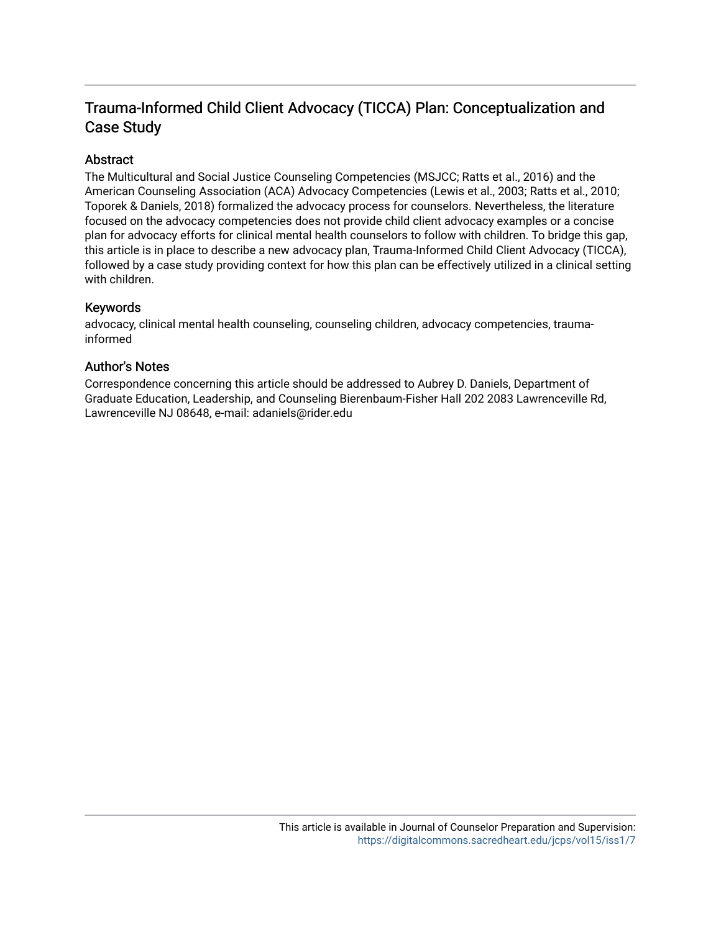# Trauma-Informed Child Client Advocacy (TICCA) Plan: Conceptualization and Case Study

# Abstract

The Multicultural and Social Justice Counseling Competencies (MSJCC; Ratts et al., 2016) and the American Counseling Association (ACA) Advocacy Competencies (Lewis et al., 2003; Ratts et al., 2010; Toporek & Daniels, 2018) formalized the advocacy process for counselors. Nevertheless, the literature focused on the advocacy competencies does not provide child client advocacy examples or a concise plan for advocacy efforts for clinical mental health counselors to follow with children. To bridge this gap, this article is in place to describe a new advocacy plan, Trauma-Informed Child Client Advocacy (TICCA), followed by a case study providing context for how this plan can be effectively utilized in a clinical setting with children.

## Keywords

advocacy, clinical mental health counseling, counseling children, advocacy competencies, traumainformed

## Author's Notes

Correspondence concerning this article should be addressed to Aubrey D. Daniels, Department of Graduate Education, Leadership, and Counseling Bierenbaum-Fisher Hall 202 2083 Lawrenceville Rd, Lawrenceville NJ 08648, e-mail: adaniels@rider.edu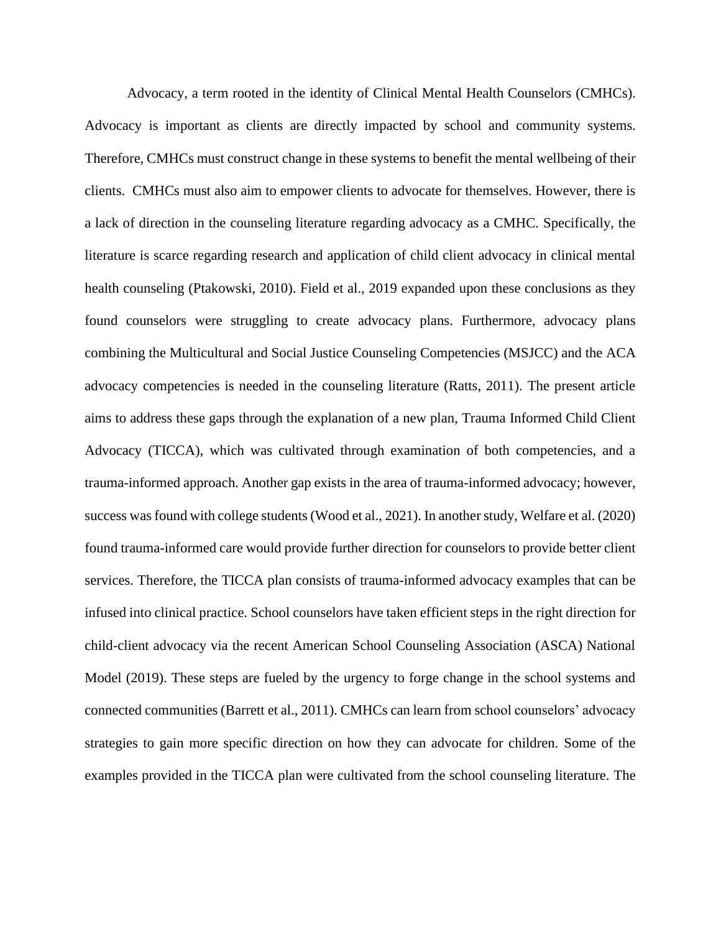Advocacy, a term rooted in the identity of Clinical Mental Health Counselors (CMHCs). Advocacy is important as clients are directly impacted by school and community systems. Therefore, CMHCs must construct change in these systems to benefit the mental wellbeing of their clients. CMHCs must also aim to empower clients to advocate for themselves. However, there is a lack of direction in the counseling literature regarding advocacy as a CMHC. Specifically, the literature is scarce regarding research and application of child client advocacy in clinical mental health counseling (Ptakowski, 2010). Field et al., 2019 expanded upon these conclusions as they found counselors were struggling to create advocacy plans. Furthermore, advocacy plans combining the Multicultural and Social Justice Counseling Competencies (MSJCC) and the ACA advocacy competencies is needed in the counseling literature (Ratts, 2011). The present article aims to address these gaps through the explanation of a new plan, Trauma Informed Child Client Advocacy (TICCA), which was cultivated through examination of both competencies, and a trauma-informed approach. Another gap exists in the area of trauma-informed advocacy; however, success was found with college students (Wood et al., 2021). In another study, Welfare et al. (2020) found trauma-informed care would provide further direction for counselors to provide better client services. Therefore, the TICCA plan consists of trauma-informed advocacy examples that can be infused into clinical practice. School counselors have taken efficient steps in the right direction for child-client advocacy via the recent American School Counseling Association (ASCA) National Model (2019). These steps are fueled by the urgency to forge change in the school systems and connected communities (Barrett et al., 2011). CMHCs can learn from school counselors' advocacy strategies to gain more specific direction on how they can advocate for children. Some of the examples provided in the TICCA plan were cultivated from the school counseling literature. The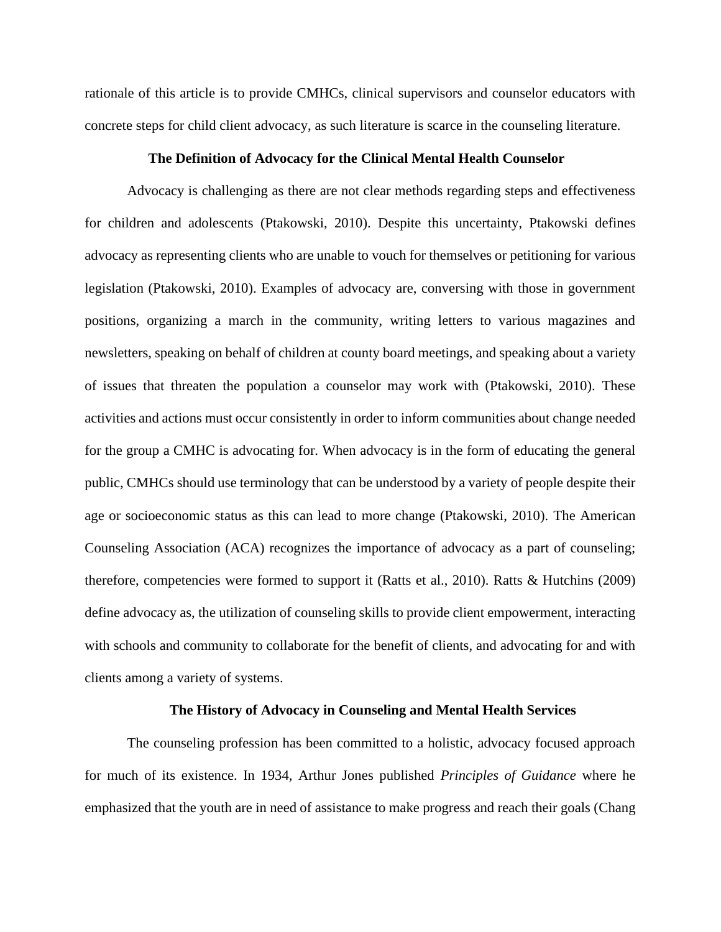rationale of this article is to provide CMHCs, clinical supervisors and counselor educators with concrete steps for child client advocacy, as such literature is scarce in the counseling literature.

#### **The Definition of Advocacy for the Clinical Mental Health Counselor**

Advocacy is challenging as there are not clear methods regarding steps and effectiveness for children and adolescents (Ptakowski, 2010). Despite this uncertainty, Ptakowski defines advocacy as representing clients who are unable to vouch for themselves or petitioning for various legislation (Ptakowski, 2010). Examples of advocacy are, conversing with those in government positions, organizing a march in the community, writing letters to various magazines and newsletters, speaking on behalf of children at county board meetings, and speaking about a variety of issues that threaten the population a counselor may work with (Ptakowski, 2010). These activities and actions must occur consistently in order to inform communities about change needed for the group a CMHC is advocating for. When advocacy is in the form of educating the general public, CMHCs should use terminology that can be understood by a variety of people despite their age or socioeconomic status as this can lead to more change (Ptakowski, 2010). The American Counseling Association (ACA) recognizes the importance of advocacy as a part of counseling; therefore, competencies were formed to support it (Ratts et al., 2010). Ratts & Hutchins (2009) define advocacy as, the utilization of counseling skills to provide client empowerment, interacting with schools and community to collaborate for the benefit of clients, and advocating for and with clients among a variety of systems.

#### **The History of Advocacy in Counseling and Mental Health Services**

The counseling profession has been committed to a holistic, advocacy focused approach for much of its existence. In 1934, Arthur Jones published *Principles of Guidance* where he emphasized that the youth are in need of assistance to make progress and reach their goals (Chang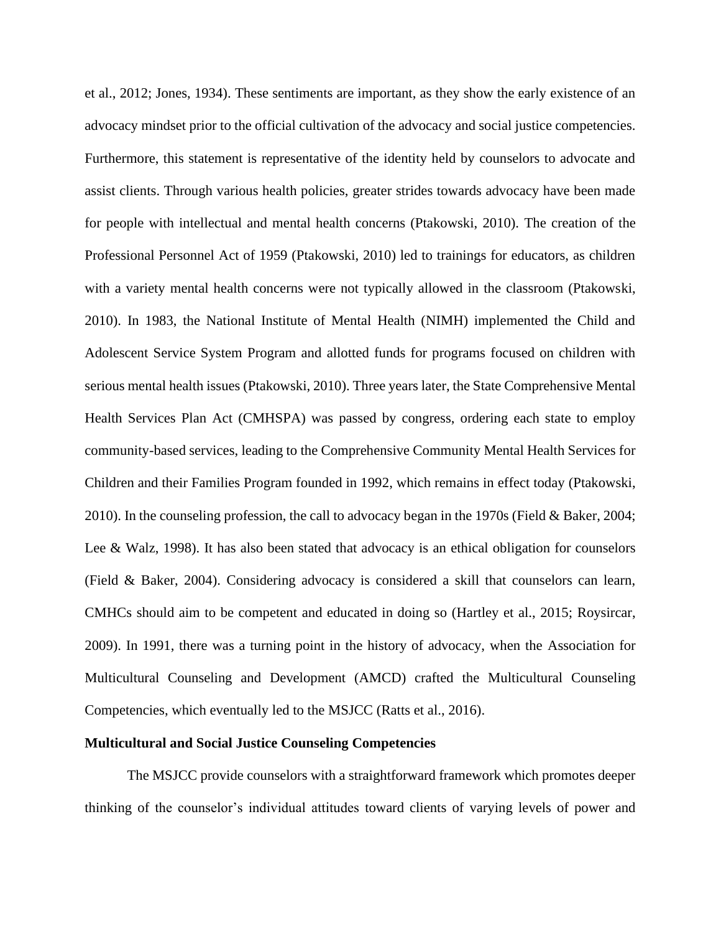et al., 2012; Jones, 1934). These sentiments are important, as they show the early existence of an advocacy mindset prior to the official cultivation of the advocacy and social justice competencies. Furthermore, this statement is representative of the identity held by counselors to advocate and assist clients. Through various health policies, greater strides towards advocacy have been made for people with intellectual and mental health concerns (Ptakowski, 2010). The creation of the Professional Personnel Act of 1959 (Ptakowski, 2010) led to trainings for educators, as children with a variety mental health concerns were not typically allowed in the classroom (Ptakowski, 2010). In 1983, the National Institute of Mental Health (NIMH) implemented the Child and Adolescent Service System Program and allotted funds for programs focused on children with serious mental health issues (Ptakowski, 2010). Three years later, the State Comprehensive Mental Health Services Plan Act (CMHSPA) was passed by congress, ordering each state to employ community-based services, leading to the Comprehensive Community Mental Health Services for Children and their Families Program founded in 1992, which remains in effect today (Ptakowski, 2010). In the counseling profession, the call to advocacy began in the 1970s (Field & Baker, 2004; Lee & Walz, 1998). It has also been stated that advocacy is an ethical obligation for counselors (Field & Baker, 2004). Considering advocacy is considered a skill that counselors can learn, CMHCs should aim to be competent and educated in doing so (Hartley et al., 2015; Roysircar, 2009). In 1991, there was a turning point in the history of advocacy, when the Association for Multicultural Counseling and Development (AMCD) crafted the Multicultural Counseling Competencies, which eventually led to the MSJCC (Ratts et al., 2016).

#### **Multicultural and Social Justice Counseling Competencies**

The MSJCC provide counselors with a straightforward framework which promotes deeper thinking of the counselor's individual attitudes toward clients of varying levels of power and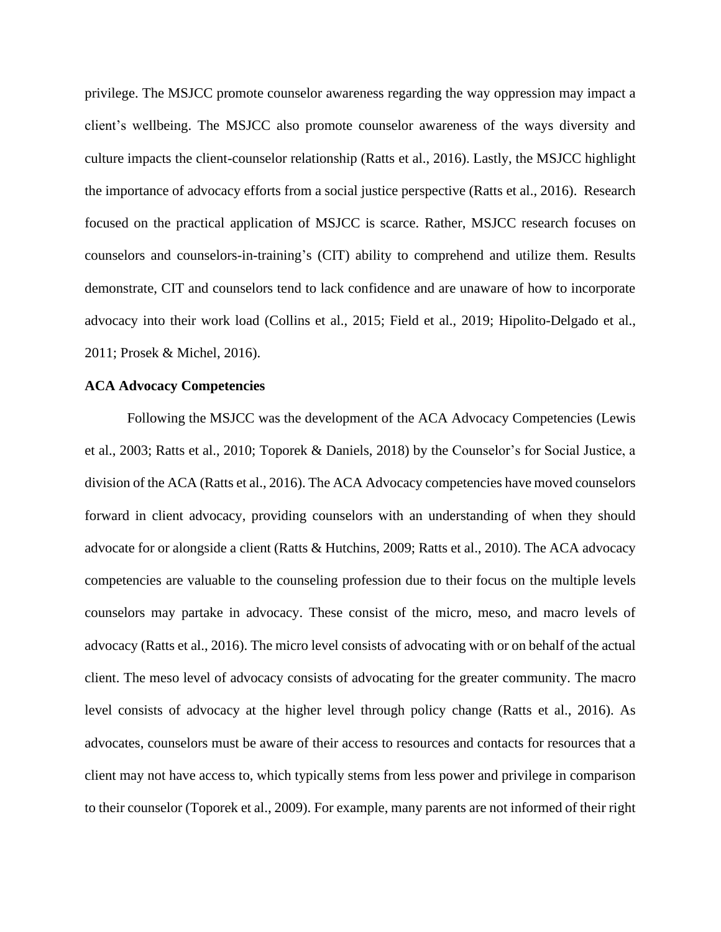privilege. The MSJCC promote counselor awareness regarding the way oppression may impact a client's wellbeing. The MSJCC also promote counselor awareness of the ways diversity and culture impacts the client-counselor relationship (Ratts et al., 2016). Lastly, the MSJCC highlight the importance of advocacy efforts from a social justice perspective (Ratts et al., 2016). Research focused on the practical application of MSJCC is scarce. Rather, MSJCC research focuses on counselors and counselors-in-training's (CIT) ability to comprehend and utilize them. Results demonstrate, CIT and counselors tend to lack confidence and are unaware of how to incorporate advocacy into their work load (Collins et al., 2015; Field et al., 2019; Hipolito-Delgado et al., 2011; Prosek & Michel, 2016).

#### **ACA Advocacy Competencies**

Following the MSJCC was the development of the ACA Advocacy Competencies (Lewis et al., 2003; Ratts et al., 2010; Toporek & Daniels, 2018) by the Counselor's for Social Justice, a division of the ACA (Ratts et al., 2016). The ACA Advocacy competencies have moved counselors forward in client advocacy, providing counselors with an understanding of when they should advocate for or alongside a client (Ratts & Hutchins, 2009; Ratts et al., 2010). The ACA advocacy competencies are valuable to the counseling profession due to their focus on the multiple levels counselors may partake in advocacy. These consist of the micro, meso, and macro levels of advocacy (Ratts et al., 2016). The micro level consists of advocating with or on behalf of the actual client. The meso level of advocacy consists of advocating for the greater community. The macro level consists of advocacy at the higher level through policy change (Ratts et al., 2016). As advocates, counselors must be aware of their access to resources and contacts for resources that a client may not have access to, which typically stems from less power and privilege in comparison to their counselor (Toporek et al., 2009). For example, many parents are not informed of their right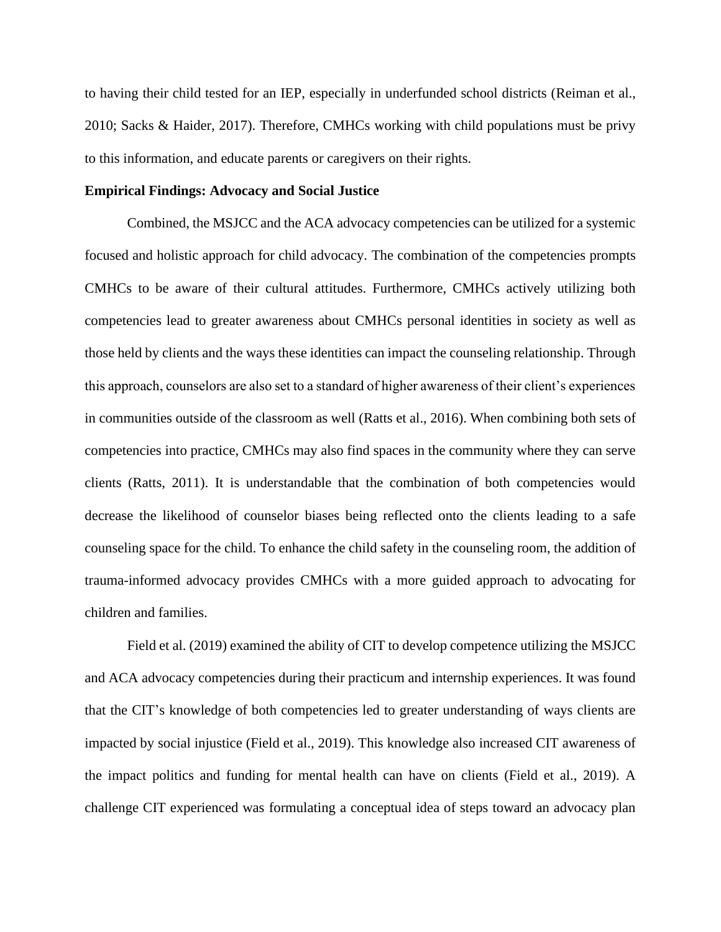to having their child tested for an IEP, especially in underfunded school districts (Reiman et al., 2010; Sacks & Haider, 2017). Therefore, CMHCs working with child populations must be privy to this information, and educate parents or caregivers on their rights.

#### **Empirical Findings: Advocacy and Social Justice**

Combined, the MSJCC and the ACA advocacy competencies can be utilized for a systemic focused and holistic approach for child advocacy. The combination of the competencies prompts CMHCs to be aware of their cultural attitudes. Furthermore, CMHCs actively utilizing both competencies lead to greater awareness about CMHCs personal identities in society as well as those held by clients and the ways these identities can impact the counseling relationship. Through this approach, counselors are also set to a standard of higher awareness of their client's experiences in communities outside of the classroom as well (Ratts et al., 2016). When combining both sets of competencies into practice, CMHCs may also find spaces in the community where they can serve clients (Ratts, 2011). It is understandable that the combination of both competencies would decrease the likelihood of counselor biases being reflected onto the clients leading to a safe counseling space for the child. To enhance the child safety in the counseling room, the addition of trauma-informed advocacy provides CMHCs with a more guided approach to advocating for children and families.

Field et al. (2019) examined the ability of CIT to develop competence utilizing the MSJCC and ACA advocacy competencies during their practicum and internship experiences. It was found that the CIT's knowledge of both competencies led to greater understanding of ways clients are impacted by social injustice (Field et al., 2019). This knowledge also increased CIT awareness of the impact politics and funding for mental health can have on clients (Field et al., 2019). A challenge CIT experienced was formulating a conceptual idea of steps toward an advocacy plan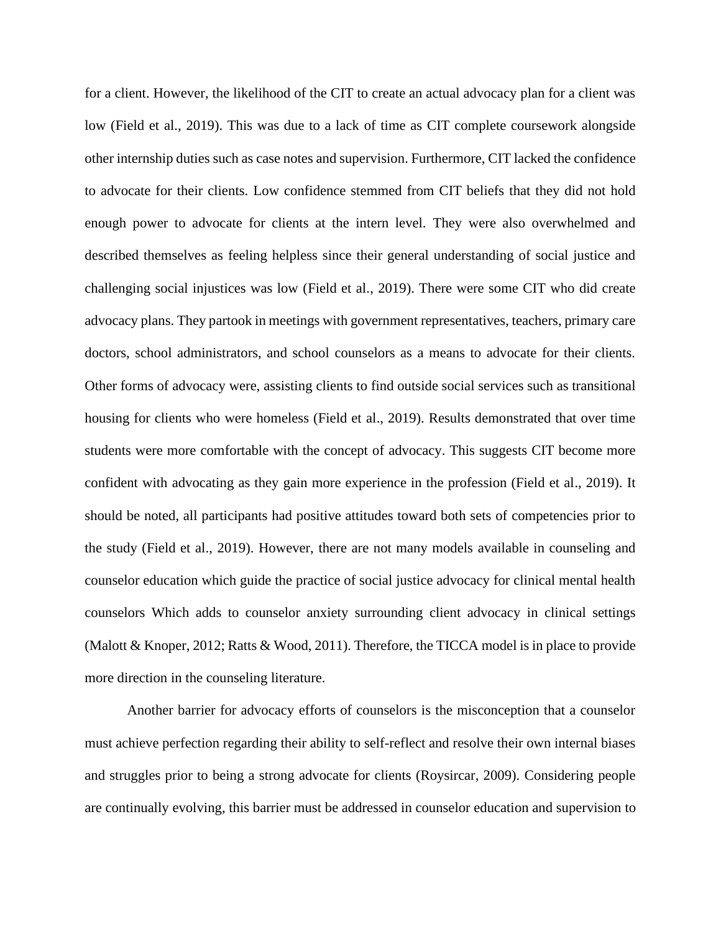for a client. However, the likelihood of the CIT to create an actual advocacy plan for a client was low (Field et al., 2019). This was due to a lack of time as CIT complete coursework alongside other internship duties such as case notes and supervision. Furthermore, CIT lacked the confidence to advocate for their clients. Low confidence stemmed from CIT beliefs that they did not hold enough power to advocate for clients at the intern level. They were also overwhelmed and described themselves as feeling helpless since their general understanding of social justice and challenging social injustices was low (Field et al., 2019). There were some CIT who did create advocacy plans. They partook in meetings with government representatives, teachers, primary care doctors, school administrators, and school counselors as a means to advocate for their clients. Other forms of advocacy were, assisting clients to find outside social services such as transitional housing for clients who were homeless (Field et al., 2019). Results demonstrated that over time students were more comfortable with the concept of advocacy. This suggests CIT become more confident with advocating as they gain more experience in the profession (Field et al., 2019). It should be noted, all participants had positive attitudes toward both sets of competencies prior to the study (Field et al., 2019). However, there are not many models available in counseling and counselor education which guide the practice of social justice advocacy for clinical mental health counselors Which adds to counselor anxiety surrounding client advocacy in clinical settings (Malott & Knoper, 2012; Ratts & Wood, 2011). Therefore, the TICCA model is in place to provide more direction in the counseling literature.

Another barrier for advocacy efforts of counselors is the misconception that a counselor must achieve perfection regarding their ability to self-reflect and resolve their own internal biases and struggles prior to being a strong advocate for clients (Roysircar, 2009). Considering people are continually evolving, this barrier must be addressed in counselor education and supervision to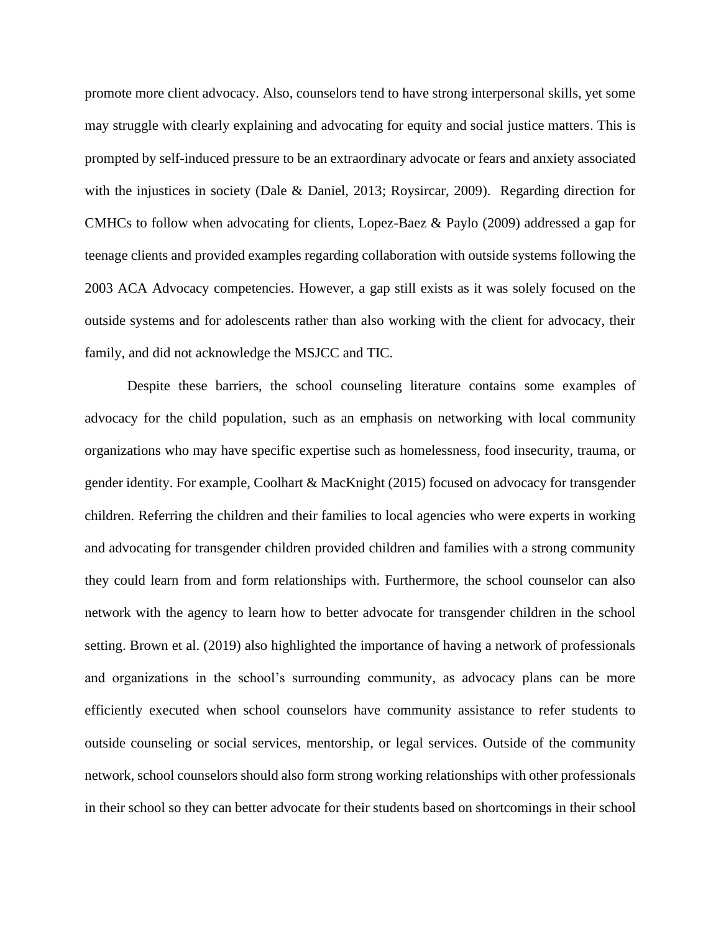promote more client advocacy. Also, counselors tend to have strong interpersonal skills, yet some may struggle with clearly explaining and advocating for equity and social justice matters. This is prompted by self-induced pressure to be an extraordinary advocate or fears and anxiety associated with the injustices in society (Dale & Daniel, 2013; Roysircar, 2009). Regarding direction for CMHCs to follow when advocating for clients, Lopez-Baez & Paylo (2009) addressed a gap for teenage clients and provided examples regarding collaboration with outside systems following the 2003 ACA Advocacy competencies. However, a gap still exists as it was solely focused on the outside systems and for adolescents rather than also working with the client for advocacy, their family, and did not acknowledge the MSJCC and TIC.

Despite these barriers, the school counseling literature contains some examples of advocacy for the child population, such as an emphasis on networking with local community organizations who may have specific expertise such as homelessness, food insecurity, trauma, or gender identity. For example, Coolhart & MacKnight (2015) focused on advocacy for transgender children. Referring the children and their families to local agencies who were experts in working and advocating for transgender children provided children and families with a strong community they could learn from and form relationships with. Furthermore, the school counselor can also network with the agency to learn how to better advocate for transgender children in the school setting. Brown et al. (2019) also highlighted the importance of having a network of professionals and organizations in the school's surrounding community, as advocacy plans can be more efficiently executed when school counselors have community assistance to refer students to outside counseling or social services, mentorship, or legal services. Outside of the community network, school counselors should also form strong working relationships with other professionals in their school so they can better advocate for their students based on shortcomings in their school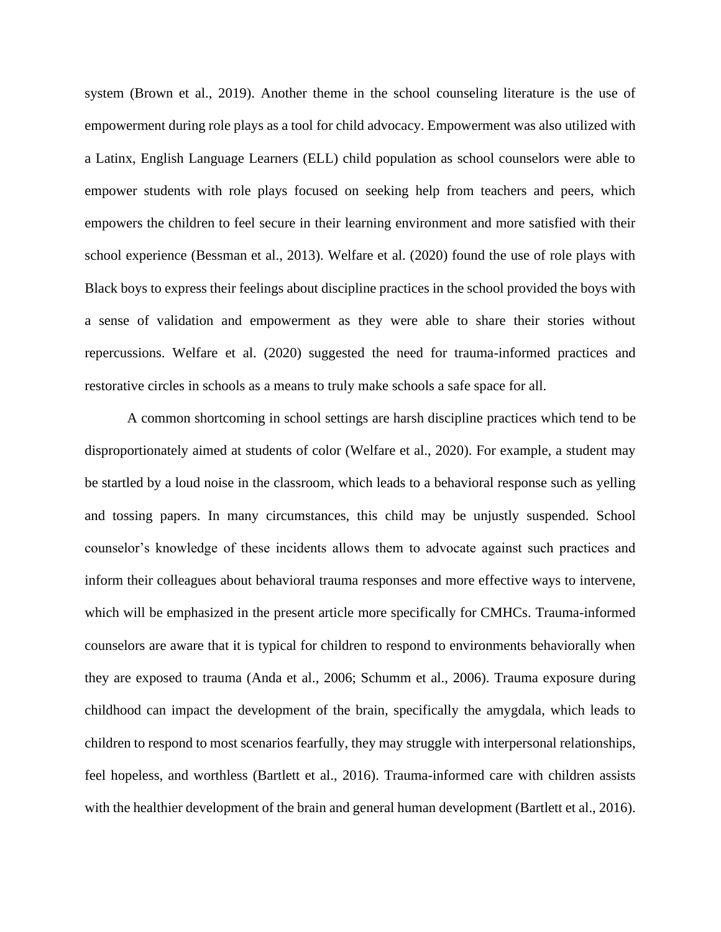system (Brown et al., 2019). Another theme in the school counseling literature is the use of empowerment during role plays as a tool for child advocacy. Empowerment was also utilized with a Latinx, English Language Learners (ELL) child population as school counselors were able to empower students with role plays focused on seeking help from teachers and peers, which empowers the children to feel secure in their learning environment and more satisfied with their school experience (Bessman et al., 2013). Welfare et al. (2020) found the use of role plays with Black boys to express their feelings about discipline practices in the school provided the boys with a sense of validation and empowerment as they were able to share their stories without repercussions. Welfare et al. (2020) suggested the need for trauma-informed practices and restorative circles in schools as a means to truly make schools a safe space for all.

A common shortcoming in school settings are harsh discipline practices which tend to be disproportionately aimed at students of color (Welfare et al., 2020). For example, a student may be startled by a loud noise in the classroom, which leads to a behavioral response such as yelling and tossing papers. In many circumstances, this child may be unjustly suspended. School counselor's knowledge of these incidents allows them to advocate against such practices and inform their colleagues about behavioral trauma responses and more effective ways to intervene, which will be emphasized in the present article more specifically for CMHCs. Trauma-informed counselors are aware that it is typical for children to respond to environments behaviorally when they are exposed to trauma (Anda et al., 2006; Schumm et al., 2006). Trauma exposure during childhood can impact the development of the brain, specifically the amygdala, which leads to children to respond to most scenarios fearfully, they may struggle with interpersonal relationships, feel hopeless, and worthless (Bartlett et al., 2016). Trauma-informed care with children assists with the healthier development of the brain and general human development (Bartlett et al., 2016).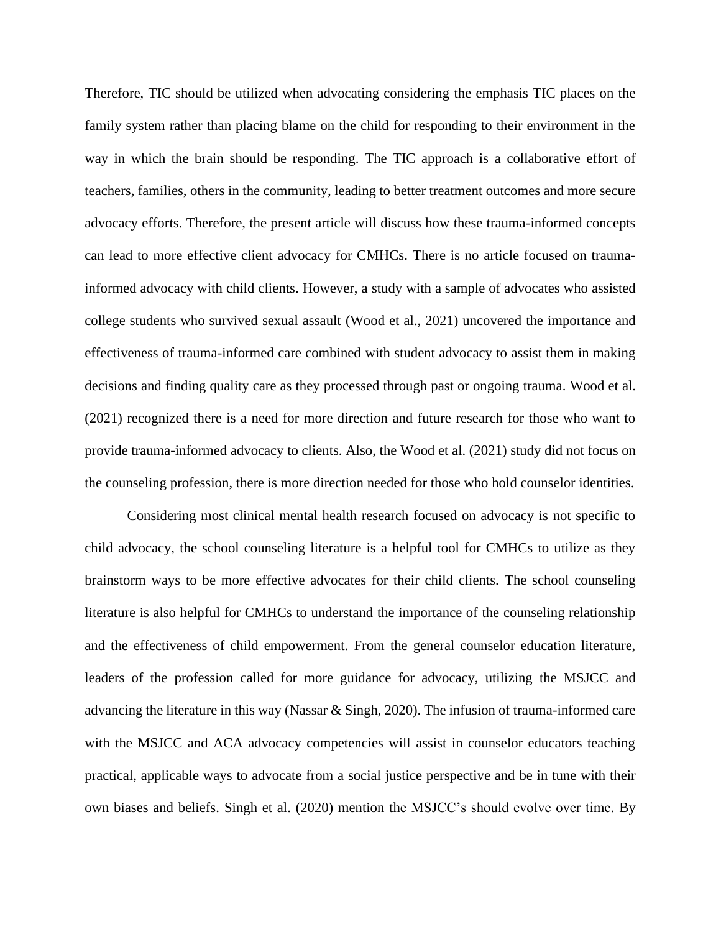Therefore, TIC should be utilized when advocating considering the emphasis TIC places on the family system rather than placing blame on the child for responding to their environment in the way in which the brain should be responding. The TIC approach is a collaborative effort of teachers, families, others in the community, leading to better treatment outcomes and more secure advocacy efforts. Therefore, the present article will discuss how these trauma-informed concepts can lead to more effective client advocacy for CMHCs. There is no article focused on traumainformed advocacy with child clients. However, a study with a sample of advocates who assisted college students who survived sexual assault (Wood et al., 2021) uncovered the importance and effectiveness of trauma-informed care combined with student advocacy to assist them in making decisions and finding quality care as they processed through past or ongoing trauma. Wood et al. (2021) recognized there is a need for more direction and future research for those who want to provide trauma-informed advocacy to clients. Also, the Wood et al. (2021) study did not focus on the counseling profession, there is more direction needed for those who hold counselor identities.

Considering most clinical mental health research focused on advocacy is not specific to child advocacy, the school counseling literature is a helpful tool for CMHCs to utilize as they brainstorm ways to be more effective advocates for their child clients. The school counseling literature is also helpful for CMHCs to understand the importance of the counseling relationship and the effectiveness of child empowerment. From the general counselor education literature, leaders of the profession called for more guidance for advocacy, utilizing the MSJCC and advancing the literature in this way (Nassar & Singh, 2020). The infusion of trauma-informed care with the MSJCC and ACA advocacy competencies will assist in counselor educators teaching practical, applicable ways to advocate from a social justice perspective and be in tune with their own biases and beliefs. Singh et al. (2020) mention the MSJCC's should evolve over time. By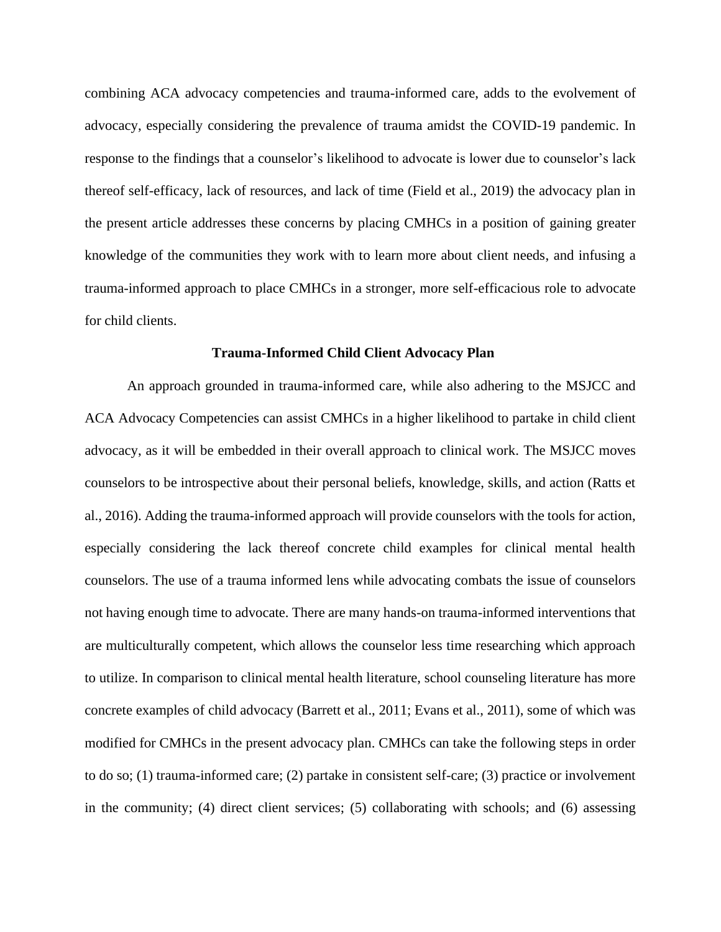combining ACA advocacy competencies and trauma-informed care, adds to the evolvement of advocacy, especially considering the prevalence of trauma amidst the COVID-19 pandemic. In response to the findings that a counselor's likelihood to advocate is lower due to counselor's lack thereof self-efficacy, lack of resources, and lack of time (Field et al., 2019) the advocacy plan in the present article addresses these concerns by placing CMHCs in a position of gaining greater knowledge of the communities they work with to learn more about client needs, and infusing a trauma-informed approach to place CMHCs in a stronger, more self-efficacious role to advocate for child clients.

#### **Trauma-Informed Child Client Advocacy Plan**

An approach grounded in trauma-informed care, while also adhering to the MSJCC and ACA Advocacy Competencies can assist CMHCs in a higher likelihood to partake in child client advocacy, as it will be embedded in their overall approach to clinical work. The MSJCC moves counselors to be introspective about their personal beliefs, knowledge, skills, and action (Ratts et al., 2016). Adding the trauma-informed approach will provide counselors with the tools for action, especially considering the lack thereof concrete child examples for clinical mental health counselors. The use of a trauma informed lens while advocating combats the issue of counselors not having enough time to advocate. There are many hands-on trauma-informed interventions that are multiculturally competent, which allows the counselor less time researching which approach to utilize. In comparison to clinical mental health literature, school counseling literature has more concrete examples of child advocacy (Barrett et al., 2011; Evans et al., 2011), some of which was modified for CMHCs in the present advocacy plan. CMHCs can take the following steps in order to do so; (1) trauma-informed care; (2) partake in consistent self-care; (3) practice or involvement in the community; (4) direct client services; (5) collaborating with schools; and (6) assessing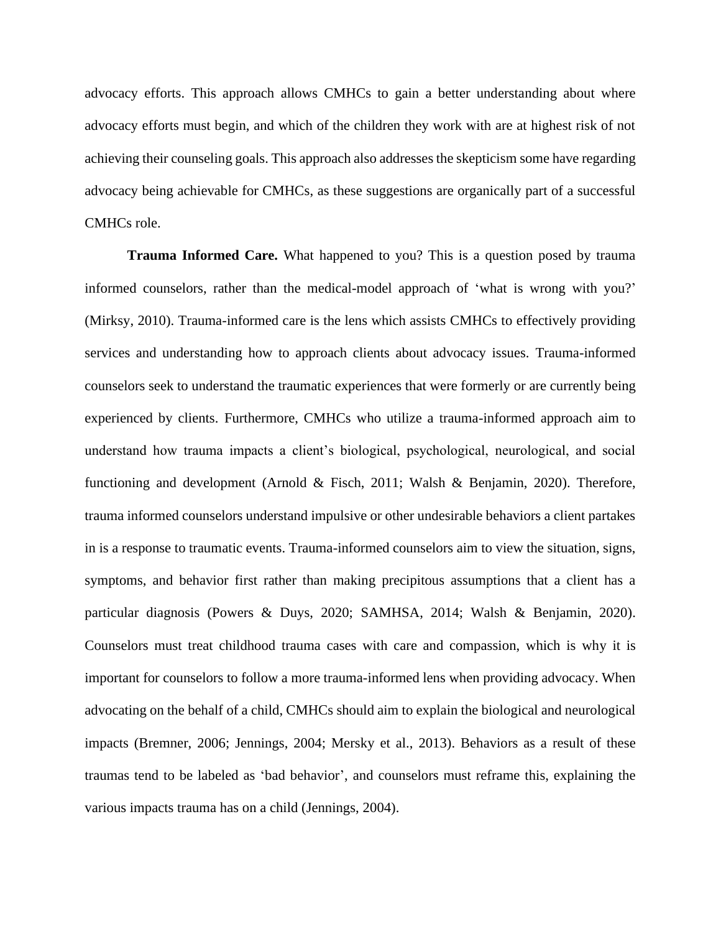advocacy efforts. This approach allows CMHCs to gain a better understanding about where advocacy efforts must begin, and which of the children they work with are at highest risk of not achieving their counseling goals. This approach also addresses the skepticism some have regarding advocacy being achievable for CMHCs, as these suggestions are organically part of a successful CMHCs role.

**Trauma Informed Care.** What happened to you? This is a question posed by trauma informed counselors, rather than the medical-model approach of 'what is wrong with you?' (Mirksy, 2010). Trauma-informed care is the lens which assists CMHCs to effectively providing services and understanding how to approach clients about advocacy issues. Trauma-informed counselors seek to understand the traumatic experiences that were formerly or are currently being experienced by clients. Furthermore, CMHCs who utilize a trauma-informed approach aim to understand how trauma impacts a client's biological, psychological, neurological, and social functioning and development (Arnold & Fisch, 2011; Walsh & Benjamin, 2020). Therefore, trauma informed counselors understand impulsive or other undesirable behaviors a client partakes in is a response to traumatic events. Trauma-informed counselors aim to view the situation, signs, symptoms, and behavior first rather than making precipitous assumptions that a client has a particular diagnosis (Powers & Duys, 2020; SAMHSA, 2014; Walsh & Benjamin, 2020). Counselors must treat childhood trauma cases with care and compassion, which is why it is important for counselors to follow a more trauma-informed lens when providing advocacy. When advocating on the behalf of a child, CMHCs should aim to explain the biological and neurological impacts (Bremner, 2006; Jennings, 2004; Mersky et al., 2013). Behaviors as a result of these traumas tend to be labeled as 'bad behavior', and counselors must reframe this, explaining the various impacts trauma has on a child (Jennings, 2004).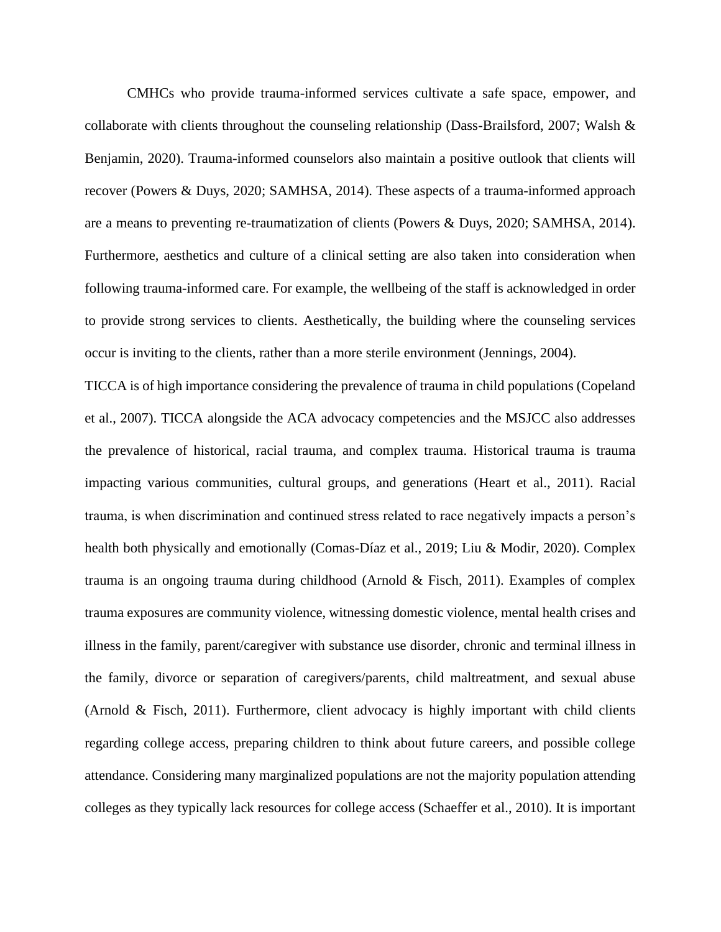CMHCs who provide trauma-informed services cultivate a safe space, empower, and collaborate with clients throughout the counseling relationship (Dass-Brailsford, 2007; Walsh & Benjamin, 2020). Trauma-informed counselors also maintain a positive outlook that clients will recover (Powers & Duys, 2020; SAMHSA, 2014). These aspects of a trauma-informed approach are a means to preventing re-traumatization of clients (Powers & Duys, 2020; SAMHSA, 2014). Furthermore, aesthetics and culture of a clinical setting are also taken into consideration when following trauma-informed care. For example, the wellbeing of the staff is acknowledged in order to provide strong services to clients. Aesthetically, the building where the counseling services occur is inviting to the clients, rather than a more sterile environment (Jennings, 2004).

TICCA is of high importance considering the prevalence of trauma in child populations (Copeland et al., 2007). TICCA alongside the ACA advocacy competencies and the MSJCC also addresses the prevalence of historical, racial trauma, and complex trauma. Historical trauma is trauma impacting various communities, cultural groups, and generations (Heart et al., 2011). Racial trauma, is when discrimination and continued stress related to race negatively impacts a person's health both physically and emotionally (Comas-Díaz et al., 2019; Liu & Modir, 2020). Complex trauma is an ongoing trauma during childhood (Arnold & Fisch, 2011). Examples of complex trauma exposures are community violence, witnessing domestic violence, mental health crises and illness in the family, parent/caregiver with substance use disorder, chronic and terminal illness in the family, divorce or separation of caregivers/parents, child maltreatment, and sexual abuse (Arnold & Fisch, 2011). Furthermore, client advocacy is highly important with child clients regarding college access, preparing children to think about future careers, and possible college attendance. Considering many marginalized populations are not the majority population attending colleges as they typically lack resources for college access (Schaeffer et al., 2010). It is important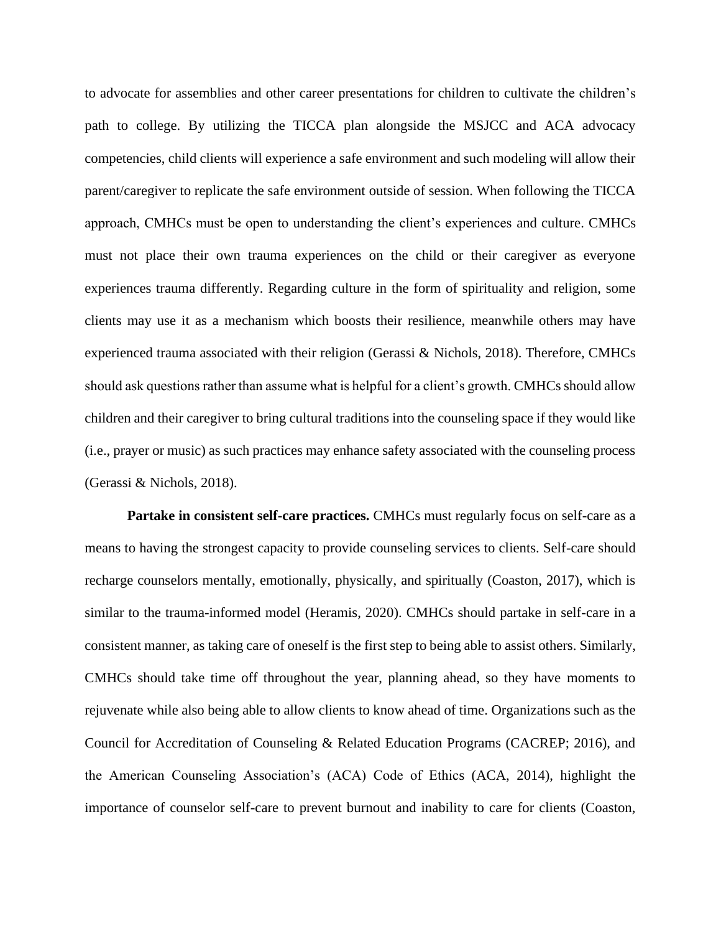to advocate for assemblies and other career presentations for children to cultivate the children's path to college. By utilizing the TICCA plan alongside the MSJCC and ACA advocacy competencies, child clients will experience a safe environment and such modeling will allow their parent/caregiver to replicate the safe environment outside of session. When following the TICCA approach, CMHCs must be open to understanding the client's experiences and culture. CMHCs must not place their own trauma experiences on the child or their caregiver as everyone experiences trauma differently. Regarding culture in the form of spirituality and religion, some clients may use it as a mechanism which boosts their resilience, meanwhile others may have experienced trauma associated with their religion (Gerassi & Nichols, 2018). Therefore, CMHCs should ask questions rather than assume what is helpful for a client's growth. CMHCs should allow children and their caregiver to bring cultural traditions into the counseling space if they would like (i.e., prayer or music) as such practices may enhance safety associated with the counseling process (Gerassi & Nichols, 2018).

**Partake in consistent self-care practices.** CMHCs must regularly focus on self-care as a means to having the strongest capacity to provide counseling services to clients. Self-care should recharge counselors mentally, emotionally, physically, and spiritually (Coaston, 2017), which is similar to the trauma-informed model (Heramis, 2020). CMHCs should partake in self-care in a consistent manner, as taking care of oneself is the first step to being able to assist others. Similarly, CMHCs should take time off throughout the year, planning ahead, so they have moments to rejuvenate while also being able to allow clients to know ahead of time. Organizations such as the Council for Accreditation of Counseling & Related Education Programs (CACREP; 2016), and the American Counseling Association's (ACA) Code of Ethics (ACA, 2014), highlight the importance of counselor self-care to prevent burnout and inability to care for clients (Coaston,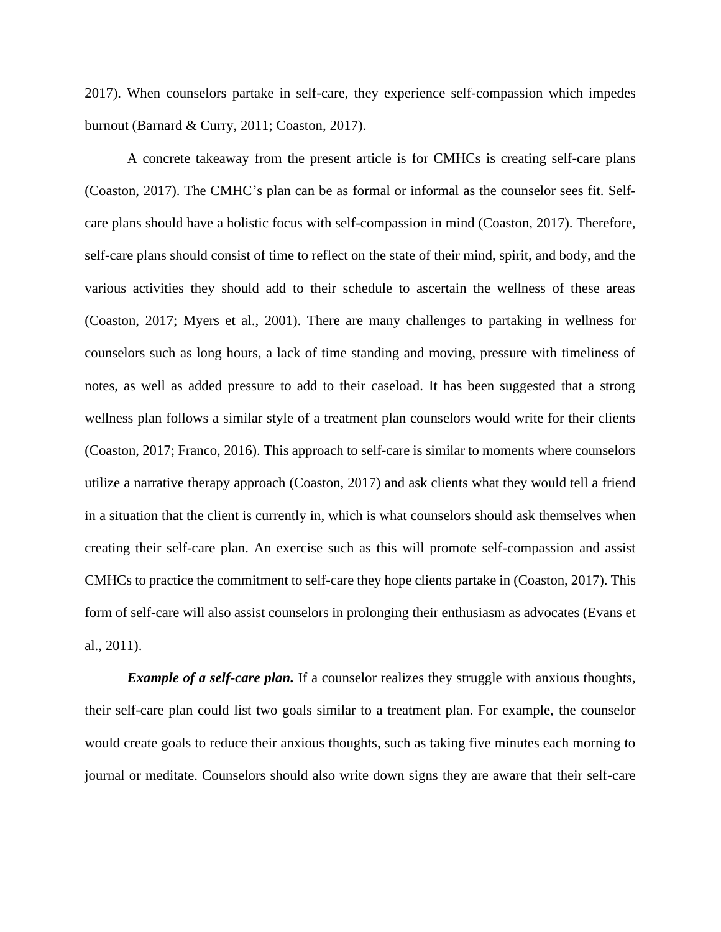2017). When counselors partake in self-care, they experience self-compassion which impedes burnout (Barnard & Curry, 2011; Coaston, 2017).

A concrete takeaway from the present article is for CMHCs is creating self-care plans (Coaston, 2017). The CMHC's plan can be as formal or informal as the counselor sees fit. Selfcare plans should have a holistic focus with self-compassion in mind (Coaston, 2017). Therefore, self-care plans should consist of time to reflect on the state of their mind, spirit, and body, and the various activities they should add to their schedule to ascertain the wellness of these areas (Coaston, 2017; Myers et al., 2001). There are many challenges to partaking in wellness for counselors such as long hours, a lack of time standing and moving, pressure with timeliness of notes, as well as added pressure to add to their caseload. It has been suggested that a strong wellness plan follows a similar style of a treatment plan counselors would write for their clients (Coaston, 2017; Franco, 2016). This approach to self-care is similar to moments where counselors utilize a narrative therapy approach (Coaston, 2017) and ask clients what they would tell a friend in a situation that the client is currently in, which is what counselors should ask themselves when creating their self-care plan. An exercise such as this will promote self-compassion and assist CMHCs to practice the commitment to self-care they hope clients partake in (Coaston, 2017). This form of self-care will also assist counselors in prolonging their enthusiasm as advocates (Evans et al., 2011).

*Example of a self-care plan.* If a counselor realizes they struggle with anxious thoughts, their self-care plan could list two goals similar to a treatment plan. For example, the counselor would create goals to reduce their anxious thoughts, such as taking five minutes each morning to journal or meditate. Counselors should also write down signs they are aware that their self-care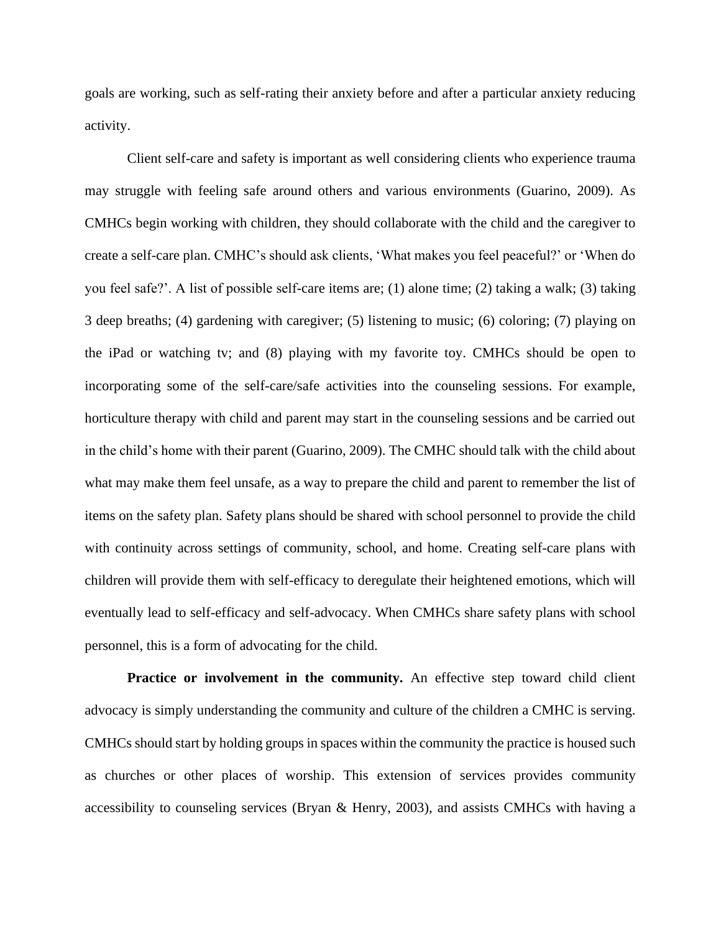goals are working, such as self-rating their anxiety before and after a particular anxiety reducing activity.

Client self-care and safety is important as well considering clients who experience trauma may struggle with feeling safe around others and various environments (Guarino, 2009). As CMHCs begin working with children, they should collaborate with the child and the caregiver to create a self-care plan. CMHC's should ask clients, 'What makes you feel peaceful?' or 'When do you feel safe?'. A list of possible self-care items are; (1) alone time; (2) taking a walk; (3) taking 3 deep breaths; (4) gardening with caregiver; (5) listening to music; (6) coloring; (7) playing on the iPad or watching tv; and (8) playing with my favorite toy. CMHCs should be open to incorporating some of the self-care/safe activities into the counseling sessions. For example, horticulture therapy with child and parent may start in the counseling sessions and be carried out in the child's home with their parent (Guarino, 2009). The CMHC should talk with the child about what may make them feel unsafe, as a way to prepare the child and parent to remember the list of items on the safety plan. Safety plans should be shared with school personnel to provide the child with continuity across settings of community, school, and home. Creating self-care plans with children will provide them with self-efficacy to deregulate their heightened emotions, which will eventually lead to self-efficacy and self-advocacy. When CMHCs share safety plans with school personnel, this is a form of advocating for the child.

**Practice or involvement in the community.** An effective step toward child client advocacy is simply understanding the community and culture of the children a CMHC is serving. CMHCs should start by holding groups in spaces within the community the practice is housed such as churches or other places of worship. This extension of services provides community accessibility to counseling services (Bryan & Henry, 2003), and assists CMHCs with having a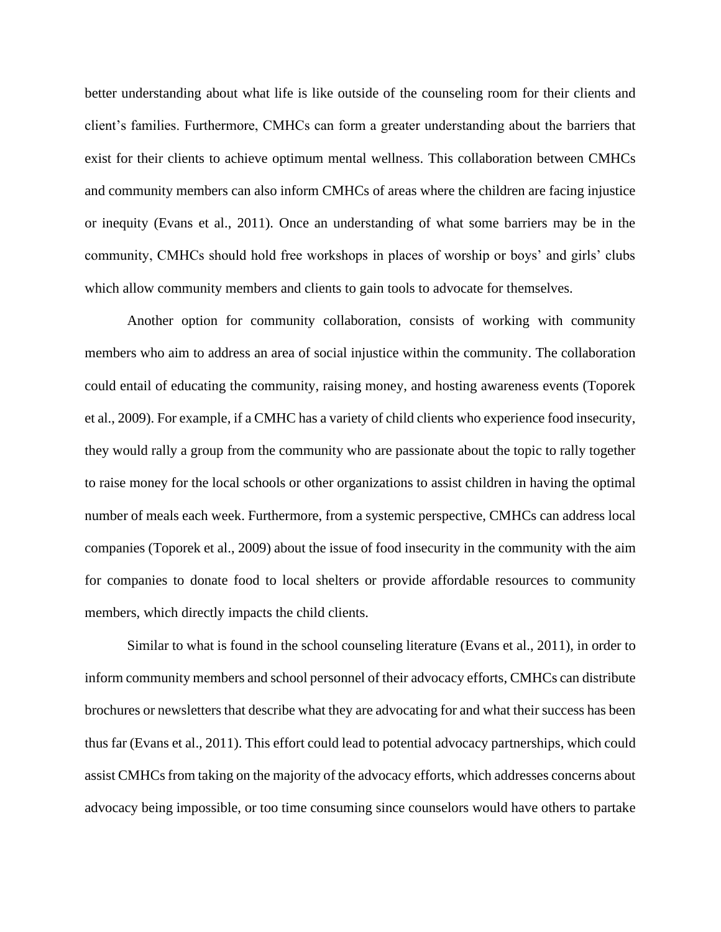better understanding about what life is like outside of the counseling room for their clients and client's families. Furthermore, CMHCs can form a greater understanding about the barriers that exist for their clients to achieve optimum mental wellness. This collaboration between CMHCs and community members can also inform CMHCs of areas where the children are facing injustice or inequity (Evans et al., 2011). Once an understanding of what some barriers may be in the community, CMHCs should hold free workshops in places of worship or boys' and girls' clubs which allow community members and clients to gain tools to advocate for themselves.

Another option for community collaboration, consists of working with community members who aim to address an area of social injustice within the community. The collaboration could entail of educating the community, raising money, and hosting awareness events (Toporek et al., 2009). For example, if a CMHC has a variety of child clients who experience food insecurity, they would rally a group from the community who are passionate about the topic to rally together to raise money for the local schools or other organizations to assist children in having the optimal number of meals each week. Furthermore, from a systemic perspective, CMHCs can address local companies (Toporek et al., 2009) about the issue of food insecurity in the community with the aim for companies to donate food to local shelters or provide affordable resources to community members, which directly impacts the child clients.

Similar to what is found in the school counseling literature (Evans et al., 2011), in order to inform community members and school personnel of their advocacy efforts, CMHCs can distribute brochures or newsletters that describe what they are advocating for and what their success has been thus far (Evans et al., 2011). This effort could lead to potential advocacy partnerships, which could assist CMHCs from taking on the majority of the advocacy efforts, which addresses concerns about advocacy being impossible, or too time consuming since counselors would have others to partake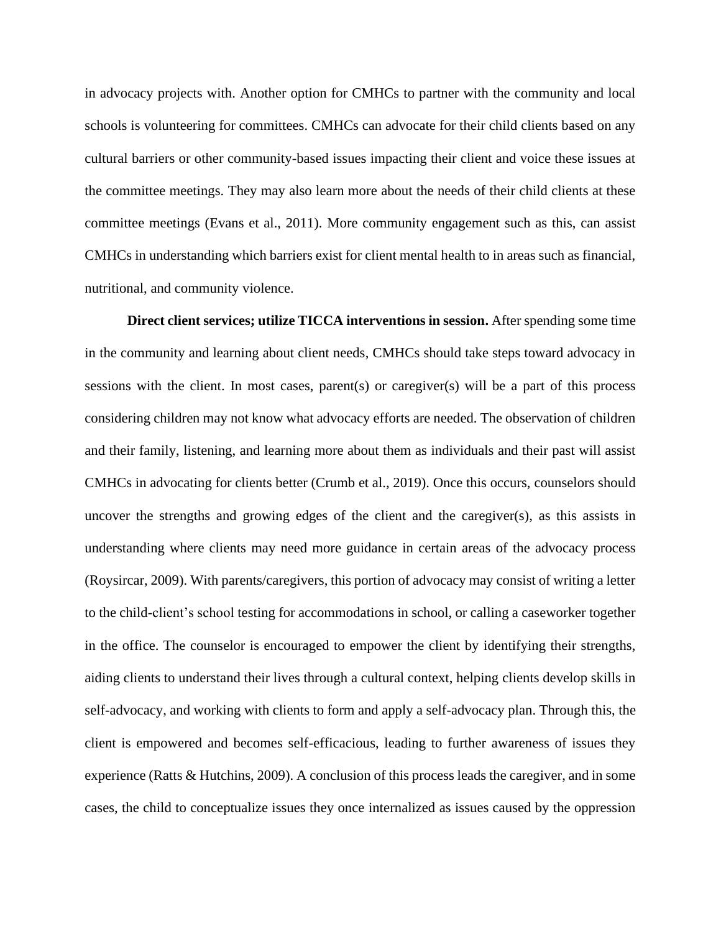in advocacy projects with. Another option for CMHCs to partner with the community and local schools is volunteering for committees. CMHCs can advocate for their child clients based on any cultural barriers or other community-based issues impacting their client and voice these issues at the committee meetings. They may also learn more about the needs of their child clients at these committee meetings (Evans et al., 2011). More community engagement such as this, can assist CMHCs in understanding which barriers exist for client mental health to in areas such as financial, nutritional, and community violence.

**Direct client services; utilize TICCA interventions in session.** After spending some time in the community and learning about client needs, CMHCs should take steps toward advocacy in sessions with the client. In most cases, parent(s) or caregiver(s) will be a part of this process considering children may not know what advocacy efforts are needed. The observation of children and their family, listening, and learning more about them as individuals and their past will assist CMHCs in advocating for clients better (Crumb et al., 2019). Once this occurs, counselors should uncover the strengths and growing edges of the client and the caregiver(s), as this assists in understanding where clients may need more guidance in certain areas of the advocacy process (Roysircar, 2009). With parents/caregivers, this portion of advocacy may consist of writing a letter to the child-client's school testing for accommodations in school, or calling a caseworker together in the office. The counselor is encouraged to empower the client by identifying their strengths, aiding clients to understand their lives through a cultural context, helping clients develop skills in self-advocacy, and working with clients to form and apply a self-advocacy plan. Through this, the client is empowered and becomes self-efficacious, leading to further awareness of issues they experience (Ratts & Hutchins, 2009). A conclusion of this process leads the caregiver, and in some cases, the child to conceptualize issues they once internalized as issues caused by the oppression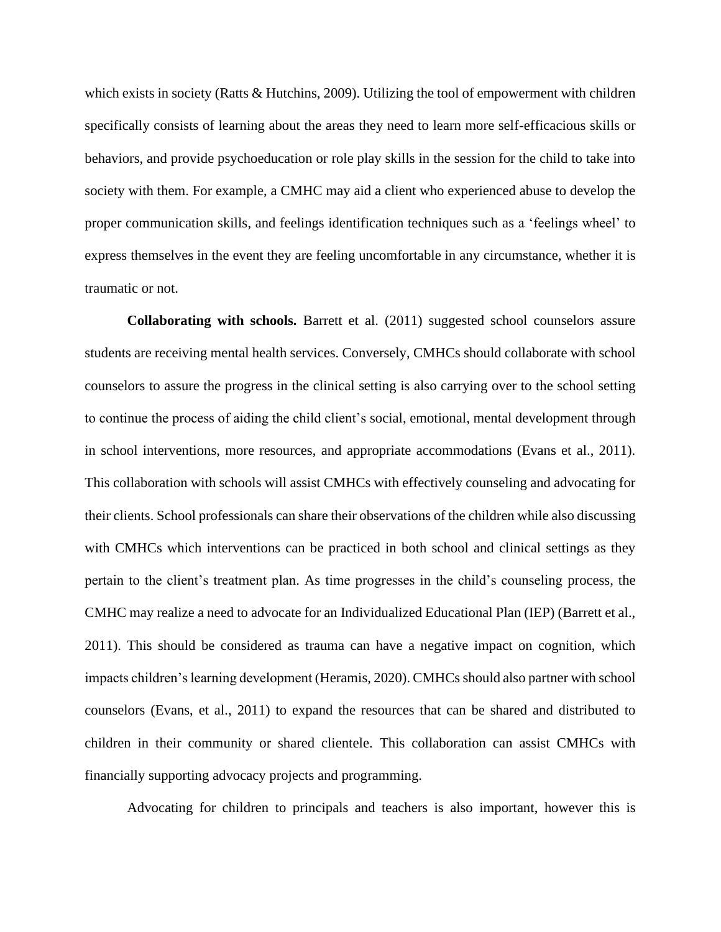which exists in society (Ratts & Hutchins, 2009). Utilizing the tool of empowerment with children specifically consists of learning about the areas they need to learn more self-efficacious skills or behaviors, and provide psychoeducation or role play skills in the session for the child to take into society with them. For example, a CMHC may aid a client who experienced abuse to develop the proper communication skills, and feelings identification techniques such as a 'feelings wheel' to express themselves in the event they are feeling uncomfortable in any circumstance, whether it is traumatic or not.

**Collaborating with schools.** Barrett et al. (2011) suggested school counselors assure students are receiving mental health services. Conversely, CMHCs should collaborate with school counselors to assure the progress in the clinical setting is also carrying over to the school setting to continue the process of aiding the child client's social, emotional, mental development through in school interventions, more resources, and appropriate accommodations (Evans et al., 2011). This collaboration with schools will assist CMHCs with effectively counseling and advocating for their clients. School professionals can share their observations of the children while also discussing with CMHCs which interventions can be practiced in both school and clinical settings as they pertain to the client's treatment plan. As time progresses in the child's counseling process, the CMHC may realize a need to advocate for an Individualized Educational Plan (IEP) (Barrett et al., 2011). This should be considered as trauma can have a negative impact on cognition, which impacts children's learning development (Heramis, 2020). CMHCs should also partner with school counselors (Evans, et al., 2011) to expand the resources that can be shared and distributed to children in their community or shared clientele. This collaboration can assist CMHCs with financially supporting advocacy projects and programming.

Advocating for children to principals and teachers is also important, however this is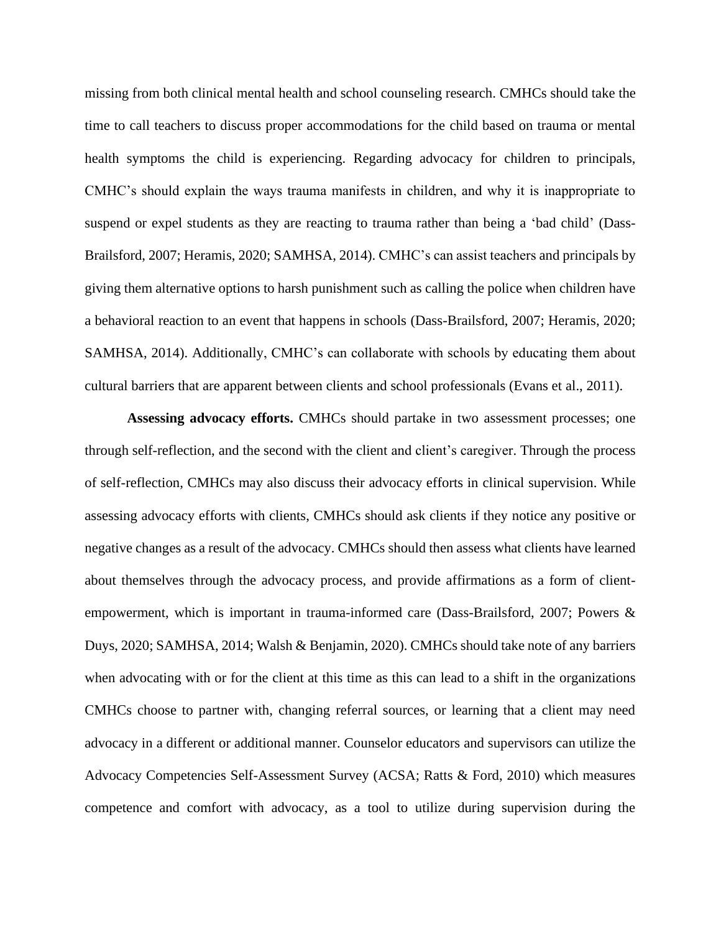missing from both clinical mental health and school counseling research. CMHCs should take the time to call teachers to discuss proper accommodations for the child based on trauma or mental health symptoms the child is experiencing. Regarding advocacy for children to principals, CMHC's should explain the ways trauma manifests in children, and why it is inappropriate to suspend or expel students as they are reacting to trauma rather than being a 'bad child' (Dass-Brailsford, 2007; Heramis, 2020; SAMHSA, 2014). CMHC's can assist teachers and principals by giving them alternative options to harsh punishment such as calling the police when children have a behavioral reaction to an event that happens in schools (Dass-Brailsford, 2007; Heramis, 2020; SAMHSA, 2014). Additionally, CMHC's can collaborate with schools by educating them about cultural barriers that are apparent between clients and school professionals (Evans et al., 2011).

**Assessing advocacy efforts.** CMHCs should partake in two assessment processes; one through self-reflection, and the second with the client and client's caregiver. Through the process of self-reflection, CMHCs may also discuss their advocacy efforts in clinical supervision. While assessing advocacy efforts with clients, CMHCs should ask clients if they notice any positive or negative changes as a result of the advocacy. CMHCs should then assess what clients have learned about themselves through the advocacy process, and provide affirmations as a form of clientempowerment, which is important in trauma-informed care (Dass-Brailsford, 2007; Powers & Duys, 2020; SAMHSA, 2014; Walsh & Benjamin, 2020). CMHCs should take note of any barriers when advocating with or for the client at this time as this can lead to a shift in the organizations CMHCs choose to partner with, changing referral sources, or learning that a client may need advocacy in a different or additional manner. Counselor educators and supervisors can utilize the Advocacy Competencies Self-Assessment Survey (ACSA; Ratts & Ford, 2010) which measures competence and comfort with advocacy, as a tool to utilize during supervision during the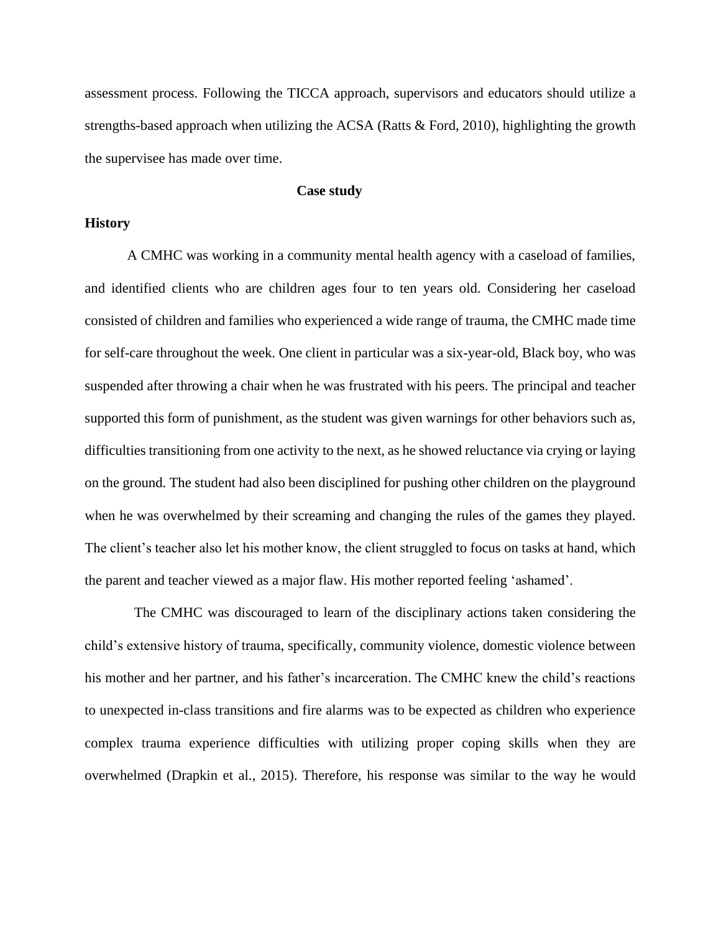assessment process. Following the TICCA approach, supervisors and educators should utilize a strengths-based approach when utilizing the ACSA (Ratts & Ford, 2010), highlighting the growth the supervisee has made over time.

#### **Case study**

#### **History**

A CMHC was working in a community mental health agency with a caseload of families, and identified clients who are children ages four to ten years old. Considering her caseload consisted of children and families who experienced a wide range of trauma, the CMHC made time for self-care throughout the week. One client in particular was a six-year-old, Black boy, who was suspended after throwing a chair when he was frustrated with his peers. The principal and teacher supported this form of punishment, as the student was given warnings for other behaviors such as, difficulties transitioning from one activity to the next, as he showed reluctance via crying or laying on the ground. The student had also been disciplined for pushing other children on the playground when he was overwhelmed by their screaming and changing the rules of the games they played. The client's teacher also let his mother know, the client struggled to focus on tasks at hand, which the parent and teacher viewed as a major flaw. His mother reported feeling 'ashamed'.

 The CMHC was discouraged to learn of the disciplinary actions taken considering the child's extensive history of trauma, specifically, community violence, domestic violence between his mother and her partner, and his father's incarceration. The CMHC knew the child's reactions to unexpected in-class transitions and fire alarms was to be expected as children who experience complex trauma experience difficulties with utilizing proper coping skills when they are overwhelmed (Drapkin et al., 2015). Therefore, his response was similar to the way he would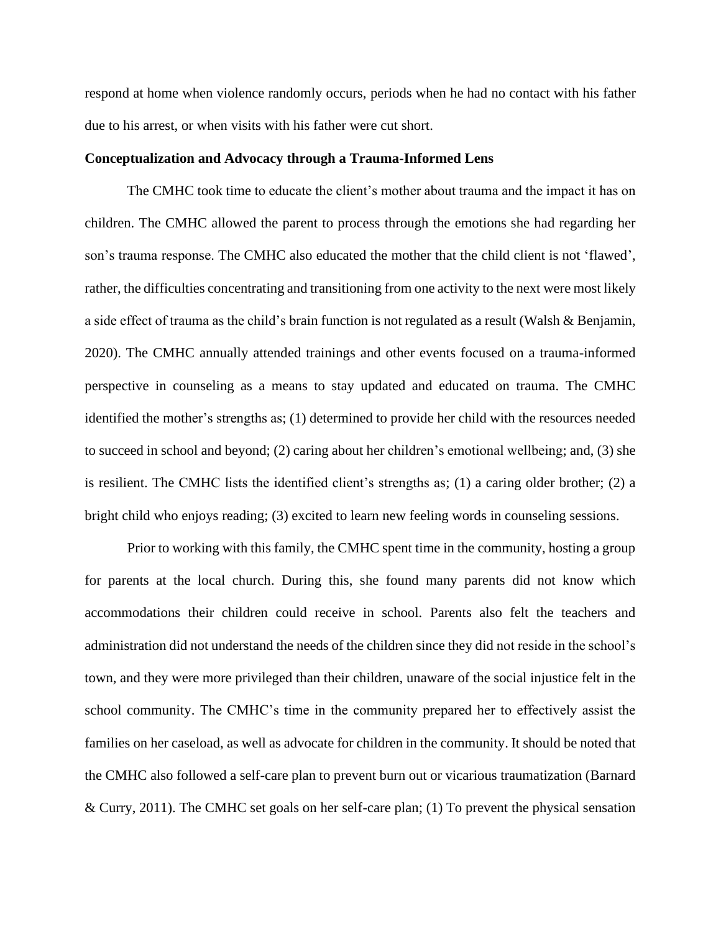respond at home when violence randomly occurs, periods when he had no contact with his father due to his arrest, or when visits with his father were cut short.

#### **Conceptualization and Advocacy through a Trauma-Informed Lens**

The CMHC took time to educate the client's mother about trauma and the impact it has on children. The CMHC allowed the parent to process through the emotions she had regarding her son's trauma response. The CMHC also educated the mother that the child client is not 'flawed', rather, the difficulties concentrating and transitioning from one activity to the next were most likely a side effect of trauma as the child's brain function is not regulated as a result (Walsh & Benjamin, 2020). The CMHC annually attended trainings and other events focused on a trauma-informed perspective in counseling as a means to stay updated and educated on trauma. The CMHC identified the mother's strengths as; (1) determined to provide her child with the resources needed to succeed in school and beyond; (2) caring about her children's emotional wellbeing; and, (3) she is resilient. The CMHC lists the identified client's strengths as; (1) a caring older brother; (2) a bright child who enjoys reading; (3) excited to learn new feeling words in counseling sessions.

Prior to working with this family, the CMHC spent time in the community, hosting a group for parents at the local church. During this, she found many parents did not know which accommodations their children could receive in school. Parents also felt the teachers and administration did not understand the needs of the children since they did not reside in the school's town, and they were more privileged than their children, unaware of the social injustice felt in the school community. The CMHC's time in the community prepared her to effectively assist the families on her caseload, as well as advocate for children in the community. It should be noted that the CMHC also followed a self-care plan to prevent burn out or vicarious traumatization (Barnard & Curry, 2011). The CMHC set goals on her self-care plan; (1) To prevent the physical sensation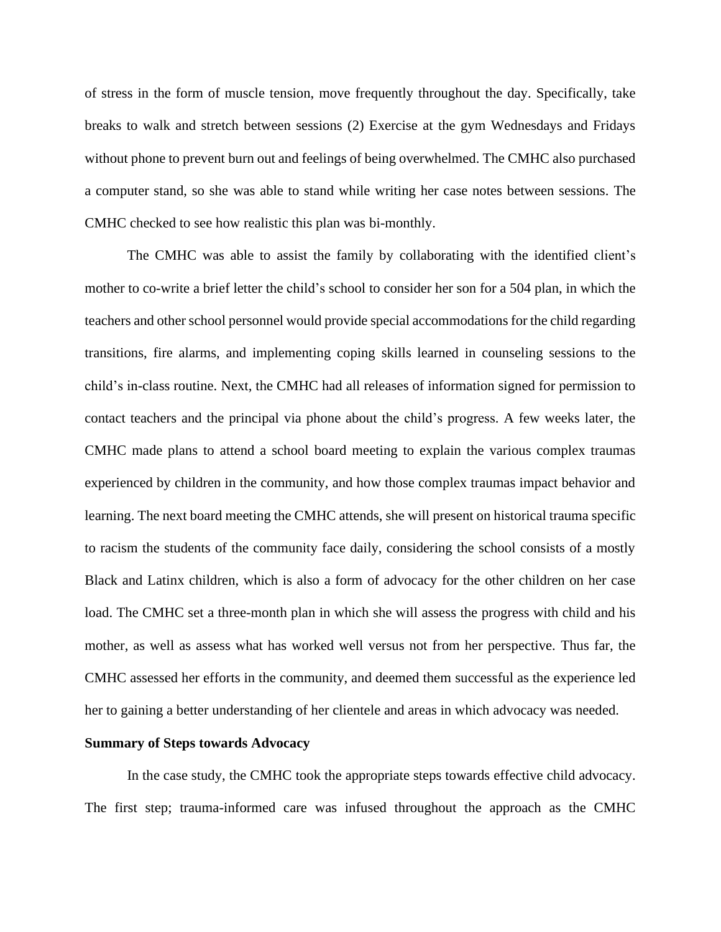of stress in the form of muscle tension, move frequently throughout the day. Specifically, take breaks to walk and stretch between sessions (2) Exercise at the gym Wednesdays and Fridays without phone to prevent burn out and feelings of being overwhelmed. The CMHC also purchased a computer stand, so she was able to stand while writing her case notes between sessions. The CMHC checked to see how realistic this plan was bi-monthly.

The CMHC was able to assist the family by collaborating with the identified client's mother to co-write a brief letter the child's school to consider her son for a 504 plan, in which the teachers and other school personnel would provide special accommodations for the child regarding transitions, fire alarms, and implementing coping skills learned in counseling sessions to the child's in-class routine. Next, the CMHC had all releases of information signed for permission to contact teachers and the principal via phone about the child's progress. A few weeks later, the CMHC made plans to attend a school board meeting to explain the various complex traumas experienced by children in the community, and how those complex traumas impact behavior and learning. The next board meeting the CMHC attends, she will present on historical trauma specific to racism the students of the community face daily, considering the school consists of a mostly Black and Latinx children, which is also a form of advocacy for the other children on her case load. The CMHC set a three-month plan in which she will assess the progress with child and his mother, as well as assess what has worked well versus not from her perspective. Thus far, the CMHC assessed her efforts in the community, and deemed them successful as the experience led her to gaining a better understanding of her clientele and areas in which advocacy was needed.

#### **Summary of Steps towards Advocacy**

In the case study, the CMHC took the appropriate steps towards effective child advocacy. The first step; trauma-informed care was infused throughout the approach as the CMHC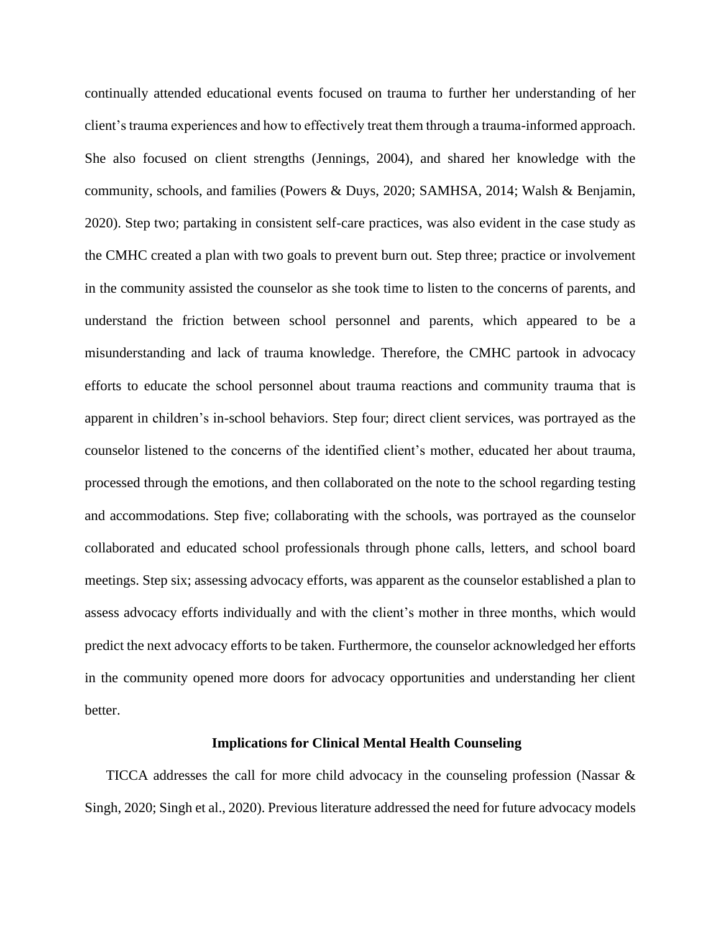continually attended educational events focused on trauma to further her understanding of her client's trauma experiences and how to effectively treat them through a trauma-informed approach. She also focused on client strengths (Jennings, 2004), and shared her knowledge with the community, schools, and families (Powers & Duys, 2020; SAMHSA, 2014; Walsh & Benjamin, 2020). Step two; partaking in consistent self-care practices, was also evident in the case study as the CMHC created a plan with two goals to prevent burn out. Step three; practice or involvement in the community assisted the counselor as she took time to listen to the concerns of parents, and understand the friction between school personnel and parents, which appeared to be a misunderstanding and lack of trauma knowledge. Therefore, the CMHC partook in advocacy efforts to educate the school personnel about trauma reactions and community trauma that is apparent in children's in-school behaviors. Step four; direct client services, was portrayed as the counselor listened to the concerns of the identified client's mother, educated her about trauma, processed through the emotions, and then collaborated on the note to the school regarding testing and accommodations. Step five; collaborating with the schools, was portrayed as the counselor collaborated and educated school professionals through phone calls, letters, and school board meetings. Step six; assessing advocacy efforts, was apparent as the counselor established a plan to assess advocacy efforts individually and with the client's mother in three months, which would predict the next advocacy efforts to be taken. Furthermore, the counselor acknowledged her efforts in the community opened more doors for advocacy opportunities and understanding her client better.

#### **Implications for Clinical Mental Health Counseling**

TICCA addresses the call for more child advocacy in the counseling profession (Nassar & Singh, 2020; Singh et al., 2020). Previous literature addressed the need for future advocacy models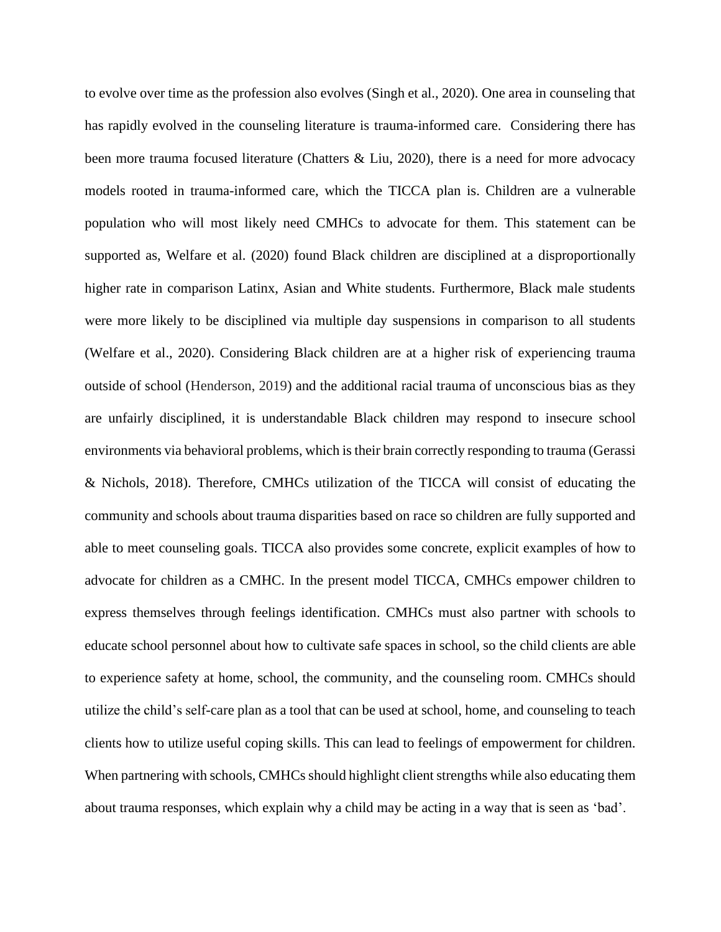to evolve over time as the profession also evolves (Singh et al., 2020). One area in counseling that has rapidly evolved in the counseling literature is trauma-informed care. Considering there has been more trauma focused literature (Chatters & Liu, 2020), there is a need for more advocacy models rooted in trauma-informed care, which the TICCA plan is. Children are a vulnerable population who will most likely need CMHCs to advocate for them. This statement can be supported as, Welfare et al. (2020) found Black children are disciplined at a disproportionally higher rate in comparison Latinx, Asian and White students. Furthermore, Black male students were more likely to be disciplined via multiple day suspensions in comparison to all students (Welfare et al., 2020). Considering Black children are at a higher risk of experiencing trauma outside of school (Henderson, 2019) and the additional racial trauma of unconscious bias as they are unfairly disciplined, it is understandable Black children may respond to insecure school environments via behavioral problems, which is their brain correctly responding to trauma (Gerassi & Nichols, 2018). Therefore, CMHCs utilization of the TICCA will consist of educating the community and schools about trauma disparities based on race so children are fully supported and able to meet counseling goals. TICCA also provides some concrete, explicit examples of how to advocate for children as a CMHC. In the present model TICCA, CMHCs empower children to express themselves through feelings identification. CMHCs must also partner with schools to educate school personnel about how to cultivate safe spaces in school, so the child clients are able to experience safety at home, school, the community, and the counseling room. CMHCs should utilize the child's self-care plan as a tool that can be used at school, home, and counseling to teach clients how to utilize useful coping skills. This can lead to feelings of empowerment for children. When partnering with schools, CMHCs should highlight client strengths while also educating them about trauma responses, which explain why a child may be acting in a way that is seen as 'bad'.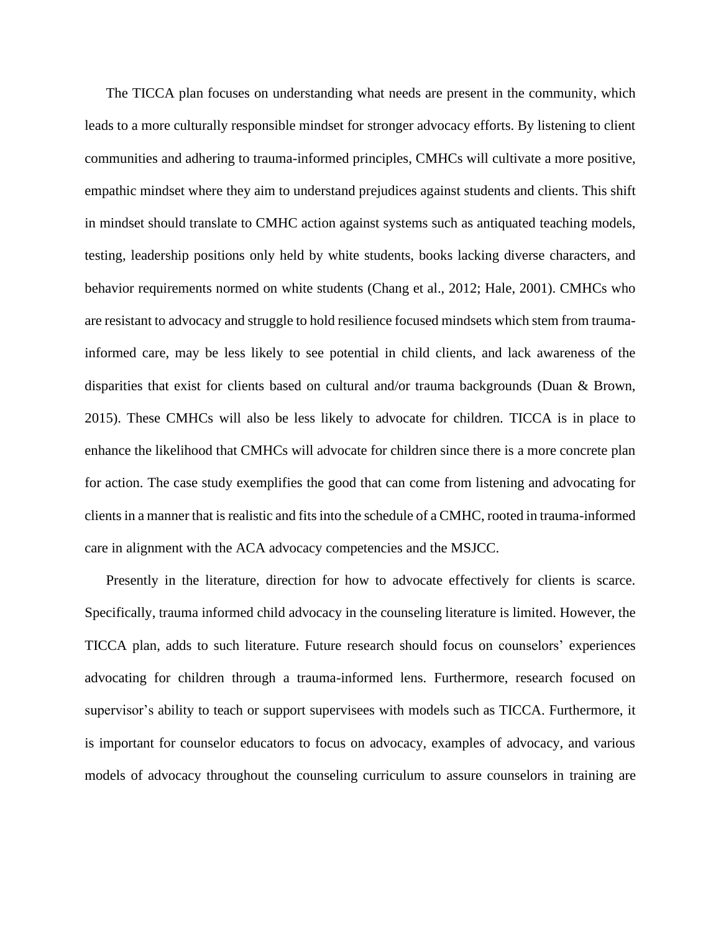The TICCA plan focuses on understanding what needs are present in the community, which leads to a more culturally responsible mindset for stronger advocacy efforts. By listening to client communities and adhering to trauma-informed principles, CMHCs will cultivate a more positive, empathic mindset where they aim to understand prejudices against students and clients. This shift in mindset should translate to CMHC action against systems such as antiquated teaching models, testing, leadership positions only held by white students, books lacking diverse characters, and behavior requirements normed on white students (Chang et al., 2012; Hale, 2001). CMHCs who are resistant to advocacy and struggle to hold resilience focused mindsets which stem from traumainformed care, may be less likely to see potential in child clients, and lack awareness of the disparities that exist for clients based on cultural and/or trauma backgrounds (Duan & Brown, 2015). These CMHCs will also be less likely to advocate for children. TICCA is in place to enhance the likelihood that CMHCs will advocate for children since there is a more concrete plan for action. The case study exemplifies the good that can come from listening and advocating for clients in a manner that is realistic and fits into the schedule of a CMHC, rooted in trauma-informed care in alignment with the ACA advocacy competencies and the MSJCC.

Presently in the literature, direction for how to advocate effectively for clients is scarce. Specifically, trauma informed child advocacy in the counseling literature is limited. However, the TICCA plan, adds to such literature. Future research should focus on counselors' experiences advocating for children through a trauma-informed lens. Furthermore, research focused on supervisor's ability to teach or support supervisees with models such as TICCA. Furthermore, it is important for counselor educators to focus on advocacy, examples of advocacy, and various models of advocacy throughout the counseling curriculum to assure counselors in training are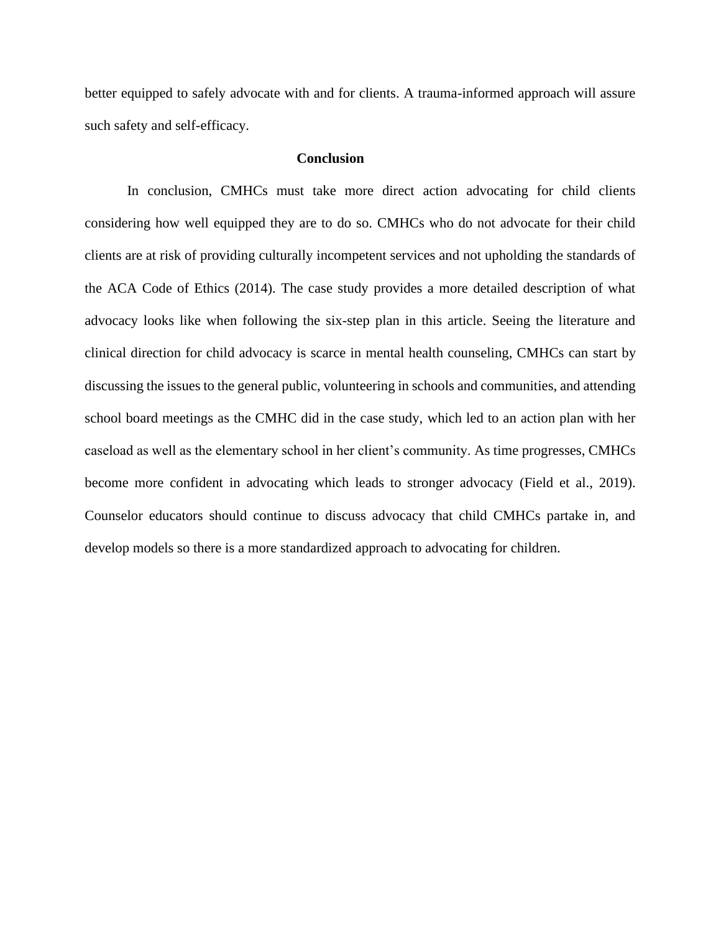better equipped to safely advocate with and for clients. A trauma-informed approach will assure such safety and self-efficacy.

#### **Conclusion**

In conclusion, CMHCs must take more direct action advocating for child clients considering how well equipped they are to do so. CMHCs who do not advocate for their child clients are at risk of providing culturally incompetent services and not upholding the standards of the ACA Code of Ethics (2014). The case study provides a more detailed description of what advocacy looks like when following the six-step plan in this article. Seeing the literature and clinical direction for child advocacy is scarce in mental health counseling, CMHCs can start by discussing the issues to the general public, volunteering in schools and communities, and attending school board meetings as the CMHC did in the case study, which led to an action plan with her caseload as well as the elementary school in her client's community. As time progresses, CMHCs become more confident in advocating which leads to stronger advocacy (Field et al., 2019). Counselor educators should continue to discuss advocacy that child CMHCs partake in, and develop models so there is a more standardized approach to advocating for children.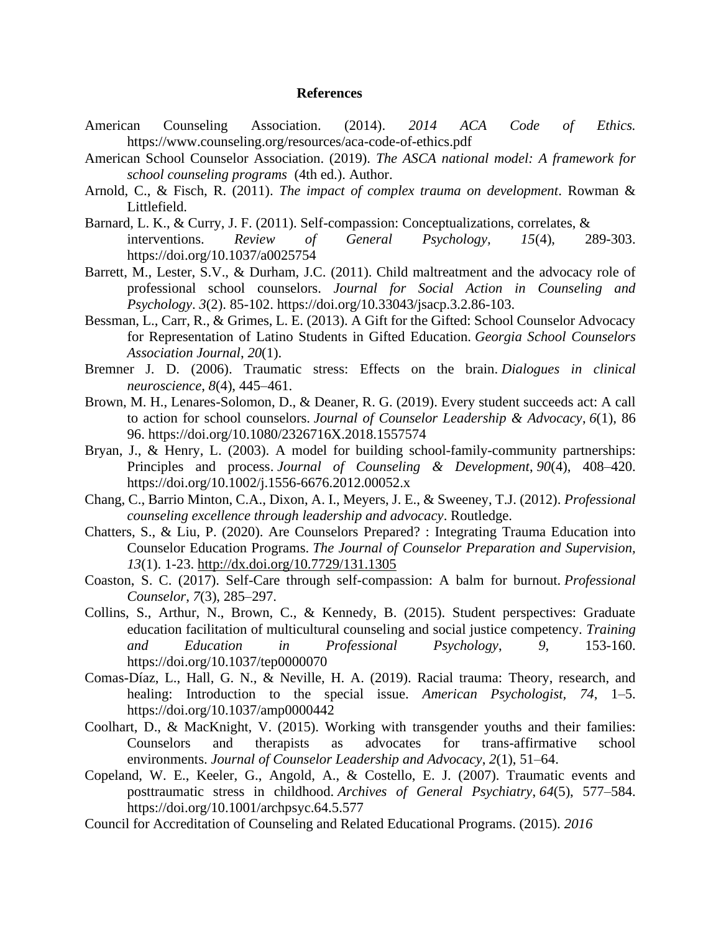#### **References**

- American Counseling Association. (2014). *2014 ACA Code of Ethics.* https://www.counseling.org/resources/aca-code-of-ethics.pdf
- American School Counselor Association. (2019). *The ASCA national model: A framework for school counseling programs* (4th ed.). Author.
- Arnold, C., & Fisch, R. (2011). *The impact of complex trauma on development*. Rowman & Littlefield.
- Barnard, L. K., & Curry, J. F. (2011). Self-compassion: Conceptualizations, correlates, & interventions. *Review of General Psychology, 15*(4), 289-303. https://doi.org/10.1037/a0025754
- Barrett, M., Lester, S.V., & Durham, J.C. (2011). Child maltreatment and the advocacy role of professional school counselors. *Journal for Social Action in Counseling and Psychology*. *3*(2). 85-102. https://doi.org/10.33043/jsacp.3.2.86-103.
- Bessman, L., Carr, R., & Grimes, L. E. (2013). A Gift for the Gifted: School Counselor Advocacy for Representation of Latino Students in Gifted Education. *Georgia School Counselors Association Journal*, *20*(1).
- Bremner J. D. (2006). Traumatic stress: Effects on the brain. *Dialogues in clinical neuroscience*, *8*(4), 445–461.
- Brown, M. H., Lenares-Solomon, D., & Deaner, R. G. (2019). Every student succeeds act: A call to action for school counselors. *Journal of Counselor Leadership & Advocacy*, *6*(1), 86 96. https://doi.org/10.1080/2326716X.2018.1557574
- Bryan, J., & Henry, L. (2003). A model for building school-family-community partnerships: Principles and process. *Journal of Counseling & Development*, *90*(4), 408–420. https://doi.org/10.1002/j.1556-6676.2012.00052.x
- Chang, C., Barrio Minton, C.A., Dixon, A. I., Meyers, J. E., & Sweeney, T.J. (2012). *Professional counseling excellence through leadership and advocacy*. Routledge.
- Chatters, S., & Liu, P. (2020). Are Counselors Prepared? : Integrating Trauma Education into Counselor Education Programs. *The Journal of Counselor Preparation and Supervision, 13*(1). 1-23. <http://dx.doi.org/10.7729/131.1305>
- Coaston, S. C. (2017). Self-Care through self-compassion: A balm for burnout. *Professional Counselor*, *7*(3), 285–297.
- Collins, S., Arthur, N., Brown, C., & Kennedy, B. (2015). Student perspectives: Graduate education facilitation of multicultural counseling and social justice competency. *Training and Education in Professional Psychology*, *9*, 153-160. https://doi.org/10.1037/tep0000070
- Comas-Díaz, L., Hall, G. N., & Neville, H. A. (2019). Racial trauma: Theory, research, and healing: Introduction to the special issue. *American Psychologist, 74*, 1–5. https://doi.org/10.1037/amp0000442
- Coolhart, D., & MacKnight, V. (2015). Working with transgender youths and their families: Counselors and therapists as advocates for trans-affirmative school environments. *Journal of Counselor Leadership and Advocacy*, *2*(1), 51–64.
- Copeland, W. E., Keeler, G., Angold, A., & Costello, E. J. (2007). Traumatic events and posttraumatic stress in childhood. *Archives of General Psychiatry*, *64*(5), 577–584. https://doi.org/10.1001/archpsyc.64.5.577
- Council for Accreditation of Counseling and Related Educational Programs. (2015). *2016*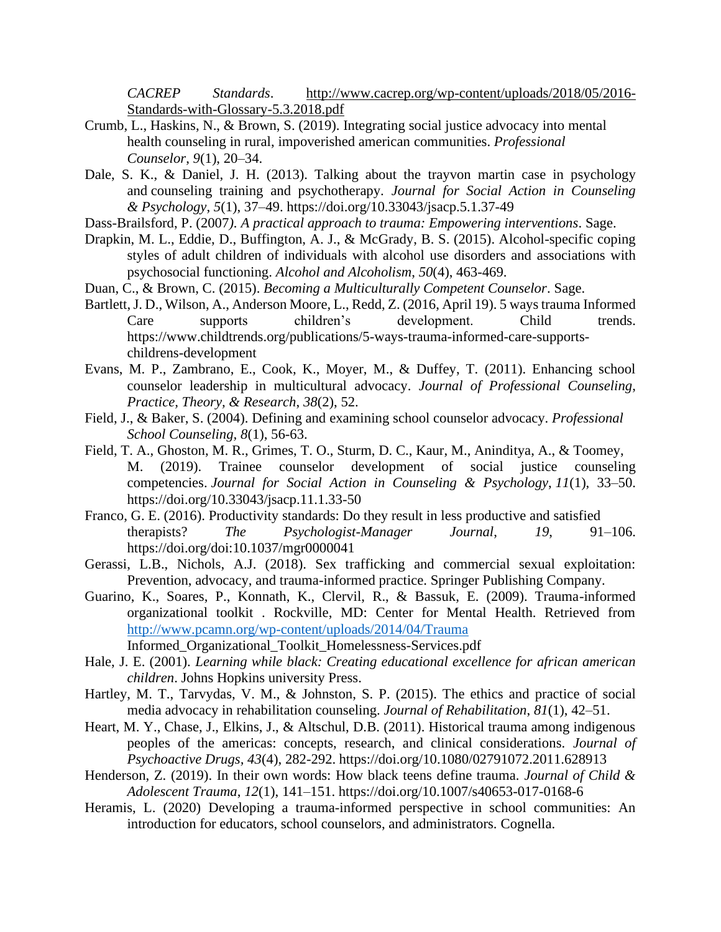*CACREP Standards*. <http://www.cacrep.org/wp-content/uploads/2018/05/2016-> Standards-with-Glossary-5.3.2018.pdf

- Crumb, L., Haskins, N., & Brown, S. (2019). Integrating social justice advocacy into mental health counseling in rural, impoverished american communities. *Professional Counselor*, *9*(1), 20–34.
- Dale, S. K., & Daniel, J. H. (2013). Talking about the trayvon martin case in psychology and counseling training and psychotherapy. *Journal for Social Action in Counseling & Psychology*, *5*(1), 37–49. [https://doi.org/1](https://doi.org/)0.33043/jsacp.5.1.37-49
- Dass-Brailsford, P. (2007*). A practical approach to trauma: Empowering interventions*. Sage.
- Drapkin, M. L., Eddie, D., Buffington, A. J., & McGrady, B. S. (2015). Alcohol-specific coping styles of adult children of individuals with alcohol use disorders and associations with psychosocial functioning. *Alcohol and Alcoholism*, *50*(4), 463-469.
- Duan, C., & Brown, C. (2015). *Becoming a Multiculturally Competent Counselor*. Sage.
- Bartlett, J. D., Wilson, A., Anderson Moore, L., Redd, Z. (2016, April 19). 5 ways trauma Informed Care supports children's development. Child trends. https://www.childtrends.org/publications/5-ways-trauma-informed-care-supportschildrens-development
- Evans, M. P., Zambrano, E., Cook, K., Moyer, M., & Duffey, T. (2011). Enhancing school counselor leadership in multicultural advocacy. *Journal of Professional Counseling*, *Practice, Theory, & Research*, *38*(2), 52.
- Field, J., & Baker, S. (2004). Defining and examining school counselor advocacy. *Professional School Counseling, 8*(1), 56-63.
- Field, T. A., Ghoston, M. R., Grimes, T. O., Sturm, D. C., Kaur, M., Aninditya, A., & Toomey, M. (2019). Trainee counselor development of social justice counseling competencies. *Journal for Social Action in Counseling & Psychology*, *11*(1), 33–50. https://doi.org/10.33043/jsacp.11.1.33-50
- Franco, G. E. (2016). Productivity standards: Do they result in less productive and satisfied therapists? *The Psychologist-Manager Journal*, *19*, 91–106. https://doi.org/doi:10.1037/mgr0000041
- Gerassi, L.B., Nichols, A.J. (2018). Sex trafficking and commercial sexual exploitation: Prevention, advocacy, and trauma-informed practice. Springer Publishing Company.
- Guarino, K., Soares, P., Konnath, K., Clervil, R., & Bassuk, E. (2009). Trauma-informed organizational toolkit . Rockville, MD: Center for Mental Health. Retrieved from <http://www.pcamn.org/wp-content/uploads/2014/04/Trauma>

Informed\_Organizational\_Toolkit\_Homelessness-Services.pdf

- Hale, J. E. (2001). *Learning while black: Creating educational excellence for african american children*. Johns Hopkins university Press.
- Hartley, M. T., Tarvydas, V. M., & Johnston, S. P. (2015). The ethics and practice of social media advocacy in rehabilitation counseling. *Journal of Rehabilitation*, *81*(1), 42–51.
- Heart, M. Y., Chase, J., Elkins, J., & Altschul, D.B. (2011). Historical trauma among indigenous peoples of the americas: concepts, research, and clinical considerations. *Journal of Psychoactive Drugs, 43*(4), 282-292. [https://doi.org/1](https://doi.org/)0.1080/02791072.2011.628913
- Henderson, Z. (2019). In their own words: How black teens define trauma. *Journal of Child & Adolescent Trauma*, *12*(1), 141–151. [https://doi.org/1](https://doi.org/)0.1007/s40653-017-0168-6
- Heramis, L. (2020) Developing a trauma-informed perspective in school communities: An introduction for educators, school counselors, and administrators. Cognella.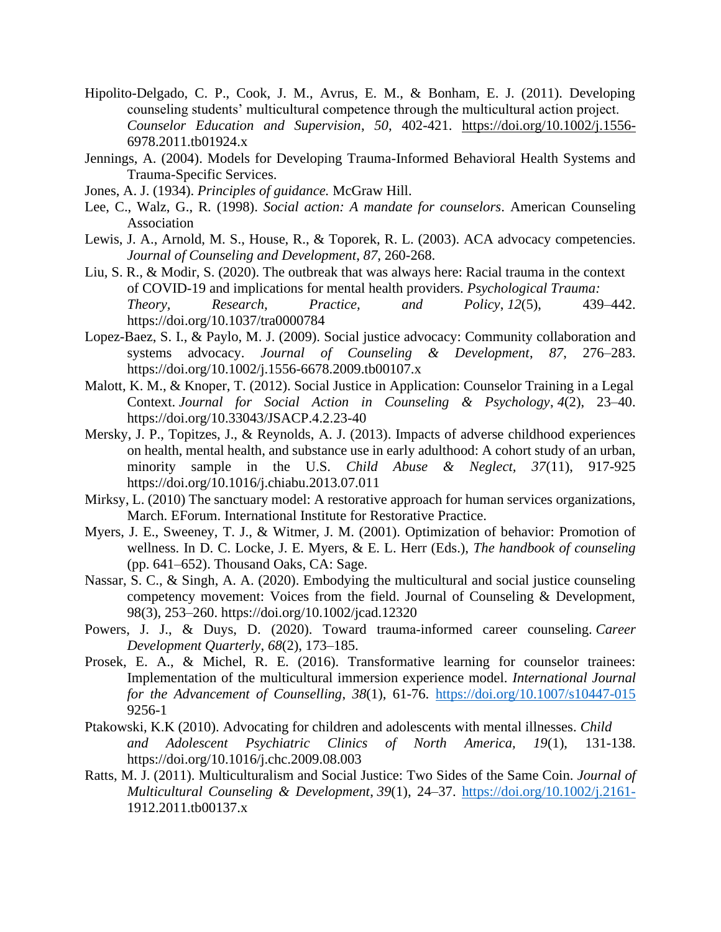- Hipolito-Delgado, C. P., Cook, J. M., Avrus, E. M., & Bonham, E. J. (2011). Developing counseling students' multicultural competence through the multicultural action project. *Counselor Education and Supervision*, *50*, 402-421. <https://doi.org/10.1002/j.1556-> 6978.2011.tb01924.x
- Jennings, A. (2004). Models for Developing Trauma-Informed Behavioral Health Systems and Trauma-Specific Services.
- Jones, A. J. (1934). *Principles of guidance.* McGraw Hill.
- Lee, C., Walz, G., R. (1998). *Social action: A mandate for counselors*. American Counseling Association
- Lewis, J. A., Arnold, M. S., House, R., & Toporek, R. L. (2003). ACA advocacy competencies. *Journal of Counseling and Development*, *87*, 260-268.
- Liu, S. R., & Modir, S. (2020). The outbreak that was always here: Racial trauma in the context of COVID-19 and implications for mental health providers. *Psychological Trauma: Theory, Research, Practice, and Policy*, *12*(5), 439–442. https://doi.org/10.1037/tra0000784
- Lopez-Baez, S. I., & Paylo, M. J. (2009). Social justice advocacy: Community collaboration and systems advocacy. *Journal of Counseling & Development*, *87*, 276–283. https://doi.org/10.1002/j.1556-6678.2009.tb00107.x
- Malott, K. M., & Knoper, T. (2012). Social Justice in Application: Counselor Training in a Legal Context. *Journal for Social Action in Counseling & Psychology*, *4*(2), 23–40. https://doi.org/10.33043/JSACP.4.2.23-40
- Mersky, J. P., Topitzes, J., & Reynolds, A. J. (2013). Impacts of adverse childhood experiences on health, mental health, and substance use in early adulthood: A cohort study of an urban, minority sample in the U.S. *Child Abuse & Neglect, 37*(11), 917-925 https://doi.org/10.1016/j.chiabu.2013.07.011
- Mirksy, L. (2010) The sanctuary model: A restorative approach for human services organizations, March. EForum. International Institute for Restorative Practice.
- Myers, J. E., Sweeney, T. J., & Witmer, J. M. (2001). Optimization of behavior: Promotion of wellness. In D. C. Locke, J. E. Myers, & E. L. Herr (Eds.), *The handbook of counseling*  (pp. 641–652). Thousand Oaks, CA: Sage.
- Nassar, S. C., & Singh, A. A. (2020). Embodying the multicultural and social justice counseling competency movement: Voices from the field. Journal of Counseling & Development, 98(3), 253–260. https://doi.org/10.1002/jcad.12320
- Powers, J. J., & Duys, D. (2020). Toward trauma‐informed career counseling. *Career Development Quarterly*, *68*(2), 173–185.
- Prosek, E. A., & Michel, R. E. (2016). Transformative learning for counselor trainees: Implementation of the multicultural immersion experience model. *International Journal for the Advancement of Counselling*, *38*(1), 61-76. <https://doi.org/10.1007/s10447-015> 9256-1
- Ptakowski, K.K (2010). Advocating for children and adolescents with mental illnesses. *Child and Adolescent Psychiatric Clinics of North America, 19*(1), 131-138. https://doi.org/10.1016/j.chc.2009.08.003
- Ratts, M. J. (2011). Multiculturalism and Social Justice: Two Sides of the Same Coin. *Journal of Multicultural Counseling & Development*, *39*(1), 24–37.<https://doi.org/10.1002/j.2161-> 1912.2011.tb00137.x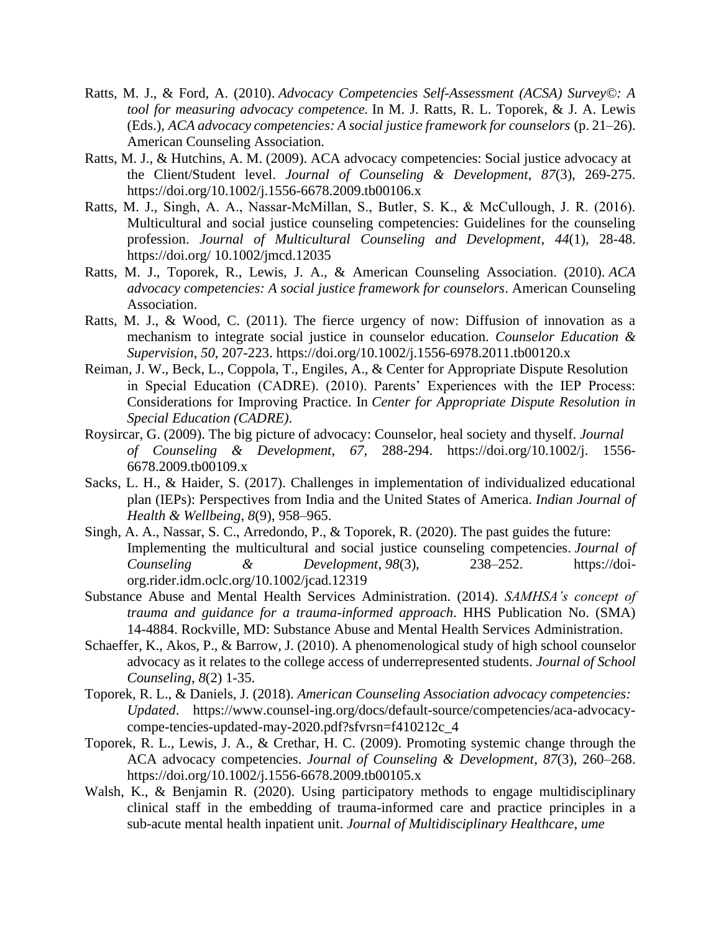- Ratts, M. J., & Ford, A. (2010). *Advocacy Competencies Self-Assessment (ACSA) Survey©: A tool for measuring advocacy competence.* In M. J. Ratts, R. L. Toporek, & J. A. Lewis (Eds.), *ACA advocacy competencies: A social justice framework for counselors* (p. 21–26). American Counseling Association.
- Ratts, M. J., & Hutchins, A. M. (2009). ACA advocacy competencies: Social justice advocacy at the Client/Student level. *Journal of Counseling & Development*, *87*(3), 269-275. https://doi.org/10.1002/j.1556-6678.2009.tb00106.x
- Ratts, M. J., Singh, A. A., Nassar‐McMillan, S., Butler, S. K., & McCullough, J. R. (2016). Multicultural and social justice counseling competencies: Guidelines for the counseling profession. *Journal of Multicultural Counseling and Development*, *44*(1), 28-48. https://doi.org/ 10.1002/jmcd.12035
- Ratts, M. J., Toporek, R., Lewis, J. A., & American Counseling Association. (2010). *ACA advocacy competencies: A social justice framework for counselors*. American Counseling Association.
- Ratts, M. J., & Wood, C. (2011). The fierce urgency of now: Diffusion of innovation as a mechanism to integrate social justice in counselor education. *Counselor Education & Supervision*, *50*, 207-223. [https://doi.org/1](https://doi.org/)0.1002/j.1556-6978.2011.tb00120.x
- Reiman, J. W., Beck, L., Coppola, T., Engiles, A., & Center for Appropriate Dispute Resolution in Special Education (CADRE). (2010). Parents' Experiences with the IEP Process: Considerations for Improving Practice. In *Center for Appropriate Dispute Resolution in Special Education (CADRE)*.
- Roysircar, G. (2009). The big picture of advocacy: Counselor, heal society and thyself. *Journal of Counseling & Development*, *67*, 288-294. https://doi.org/10.1002/j. 1556- 6678.2009.tb00109.x
- Sacks, L. H., & Haider, S. (2017). Challenges in implementation of individualized educational plan (IEPs): Perspectives from India and the United States of America. *Indian Journal of Health & Wellbeing*, *8*(9), 958–965.
- Singh, A. A., Nassar, S. C., Arredondo, P., & Toporek, R. (2020). The past guides the future: Implementing the multicultural and social justice counseling competencies. *Journal of Counseling & Development*, *98*(3), 238–252. https://doiorg.rider.idm.oclc.org/10.1002/jcad.12319
- Substance Abuse and Mental Health Services Administration. (2014). *SAMHSA's concept of trauma and guidance for a trauma-informed approach*. HHS Publication No. (SMA) 14-4884. Rockville, MD: Substance Abuse and Mental Health Services Administration.
- Schaeffer, K., Akos, P., & Barrow, J. (2010). A phenomenological study of high school counselor advocacy as it relates to the college access of underrepresented students. *Journal of School Counseling*, *8*(2) 1-35.
- Toporek, R. L., & Daniels, J. (2018). *American Counseling Association advocacy competencies: Updated*. https://www.counsel-ing.org/docs/default-source/competencies/aca-advocacycompe-tencies-updated-may-2020.pdf?sfvrsn=f410212c\_4
- Toporek, R. L., Lewis, J. A., & Crethar, H. C. (2009). Promoting systemic change through the ACA advocacy competencies. *Journal of Counseling & Development*, *87*(3), 260–268. https://doi.org/10.1002/j.1556-6678.2009.tb00105.x
- Walsh, K., & Benjamin R. (2020). Using participatory methods to engage multidisciplinary clinical staff in the embedding of trauma-informed care and practice principles in a sub-acute mental health inpatient unit. *Journal of Multidisciplinary Healthcare*, *ume*